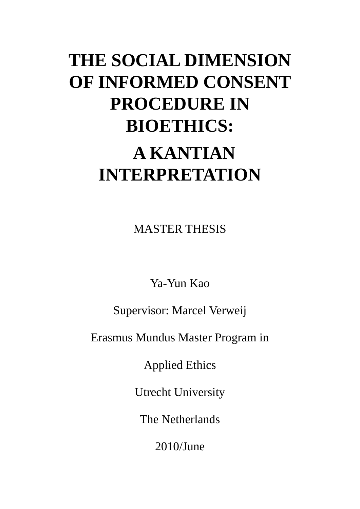# **THE SOCIAL DIMENSION OF INFORMED CONSENT PROCEDURE IN BIOETHICS: A KANTIAN INTERPRETATION**

MASTER THESIS

Ya-Yun Kao

Supervisor: Marcel Verweij

Erasmus Mundus Master Program in

Applied Ethics

Utrecht University

The Netherlands

2010/June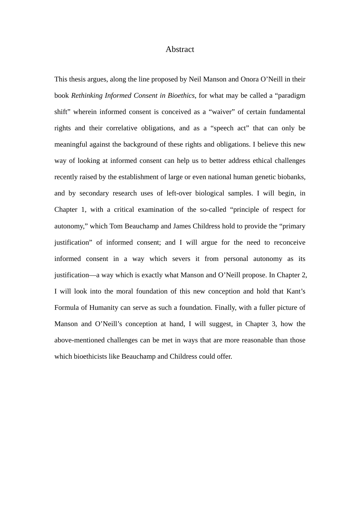## Abstract

This thesis argues, along the line proposed by Neil Manson and Onora O'Neill in their book *Rethinking Informed Consent in Bioethics*, for what may be called a "paradigm shift" wherein informed consent is conceived as a "waiver" of certain fundamental rights and their correlative obligations, and as a "speech act" that can only be meaningful against the background of these rights and obligations. I believe this new way of looking at informed consent can help us to better address ethical challenges recently raised by the establishment of large or even national human genetic biobanks, and by secondary research uses of left-over biological samples. I will begin, in Chapter 1, with a critical examination of the so-called "principle of respect for autonomy," which Tom Beauchamp and James Childress hold to provide the "primary justification" of informed consent; and I will argue for the need to reconceive informed consent in a way which severs it from personal autonomy as its justification—a way which is exactly what Manson and O'Neill propose. In Chapter 2, I will look into the moral foundation of this new conception and hold that Kant's Formula of Humanity can serve as such a foundation. Finally, with a fuller picture of Manson and O'Neill's conception at hand, I will suggest, in Chapter 3, how the above-mentioned challenges can be met in ways that are more reasonable than those which bioethicists like Beauchamp and Childress could offer.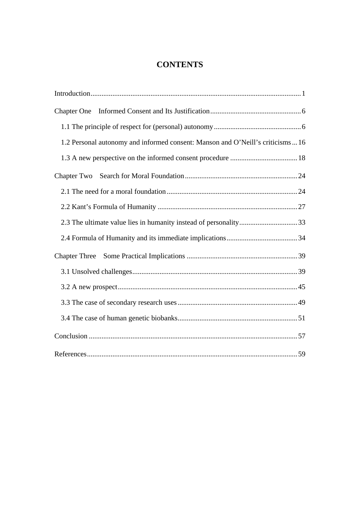# **CONTENTS**

| <b>Chapter One</b>                                                              |  |
|---------------------------------------------------------------------------------|--|
|                                                                                 |  |
| 1.2 Personal autonomy and informed consent: Manson and O'Neill's criticisms  16 |  |
|                                                                                 |  |
| Chapter Two                                                                     |  |
|                                                                                 |  |
|                                                                                 |  |
|                                                                                 |  |
|                                                                                 |  |
| <b>Chapter Three</b>                                                            |  |
|                                                                                 |  |
|                                                                                 |  |
|                                                                                 |  |
|                                                                                 |  |
|                                                                                 |  |
|                                                                                 |  |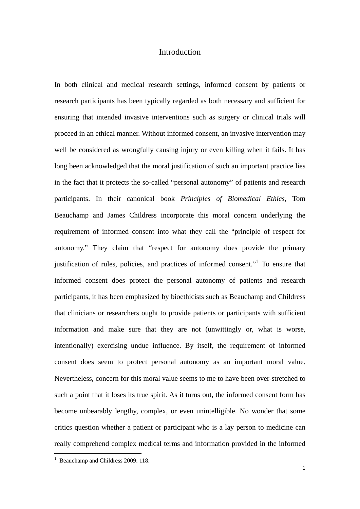## Introduction

In both clinical and medical research settings, informed consent by patients or research participants has been typically regarded as both necessary and sufficient for ensuring that intended invasive interventions such as surgery or clinical trials will proceed in an ethical manner. Without informed consent, an invasive intervention may well be considered as wrongfully causing injury or even killing when it fails. It has long been acknowledged that the moral justification of such an important practice lies in the fact that it protects the so-called "personal autonomy" of patients and research participants. In their canonical book *Principles of Biomedical Ethics*, Tom Beauchamp and James Childress incorporate this moral concern underlying the requirement of informed consent into what they call the "principle of respect for autonomy." They claim that "respect for autonomy does provide the primary justification of rules, policies, and practices of informed consent."<sup>1</sup> To ensure that informed consent does protect the personal autonomy of patients and research participants, it has been emphasized by bioethicists such as Beauchamp and Childress that clinicians or researchers ought to provide patients or participants with sufficient information and make sure that they are not (unwittingly or, what is worse, intentionally) exercising undue influence. By itself, the requirement of informed consent does seem to protect personal autonomy as an important moral value. Nevertheless, concern for this moral value seems to me to have been over-stretched to such a point that it loses its true spirit. As it turns out, the informed consent form has become unbearably lengthy, complex, or even unintelligible. No wonder that some critics question whether a patient or participant who is a lay person to medicine can really comprehend complex medical terms and information provided in the informed

<sup>&</sup>lt;sup>1</sup> Beauchamp and Childress 2009: 118.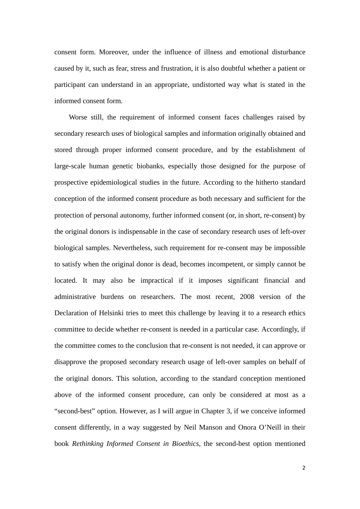consent form. Moreover, under the influence of illness and emotional disturbance caused by it, such as fear, stress and frustration, it is also doubtful whether a patient or participant can understand in an appropriate, undistorted way what is stated in the informed consent form.

Worse still, the requirement of informed consent faces challenges raised by secondary research uses of biological samples and information originally obtained and stored through proper informed consent procedure, and by the establishment of large-scale human genetic biobanks, especially those designed for the purpose of prospective epidemiological studies in the future. According to the hitherto standard conception of the informed consent procedure as both necessary and sufficient for the protection of personal autonomy, further informed consent (or, in short, re-consent) by the original donors is indispensable in the case of secondary research uses of left-over biological samples. Nevertheless, such requirement for re-consent may be impossible to satisfy when the original donor is dead, becomes incompetent, or simply cannot be located. It may also be impractical if it imposes significant financial and administrative burdens on researchers. The most recent, 2008 version of the Declaration of Helsinki tries to meet this challenge by leaving it to a research ethics committee to decide whether re-consent is needed in a particular case. Accordingly, if the committee comes to the conclusion that re-consent is not needed, it can approve or disapprove the proposed secondary research usage of left-over samples on behalf of the original donors. This solution, according to the standard conception mentioned above of the informed consent procedure, can only be considered at most as a "second-best" option. However, as I will argue in Chapter 3, if we conceive informed consent differently, in a way suggested by Neil Manson and Onora O'Neill in their book *Rethinking Informed Consent in Bioethics*, the second-best option mentioned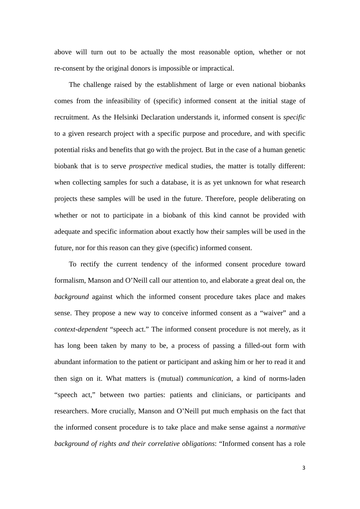above will turn out to be actually the most reasonable option, whether or not re-consent by the original donors is impossible or impractical.

The challenge raised by the establishment of large or even national biobanks comes from the infeasibility of (specific) informed consent at the initial stage of recruitment. As the Helsinki Declaration understands it, informed consent is *specific* to a given research project with a specific purpose and procedure, and with specific potential risks and benefits that go with the project. But in the case of a human genetic biobank that is to serve *prospective* medical studies, the matter is totally different: when collecting samples for such a database, it is as yet unknown for what research projects these samples will be used in the future. Therefore, people deliberating on whether or not to participate in a biobank of this kind cannot be provided with adequate and specific information about exactly how their samples will be used in the future, nor for this reason can they give (specific) informed consent.

To rectify the current tendency of the informed consent procedure toward formalism, Manson and O'Neill call our attention to, and elaborate a great deal on, the *background* against which the informed consent procedure takes place and makes sense. They propose a new way to conceive informed consent as a "waiver" and a *context-dependent* "speech act." The informed consent procedure is not merely, as it has long been taken by many to be, a process of passing a filled-out form with abundant information to the patient or participant and asking him or her to read it and then sign on it. What matters is (mutual) *communication*, a kind of norms-laden "speech act," between two parties: patients and clinicians, or participants and researchers. More crucially, Manson and O'Neill put much emphasis on the fact that the informed consent procedure is to take place and make sense against a *normative background of rights and their correlative obligations*: "Informed consent has a role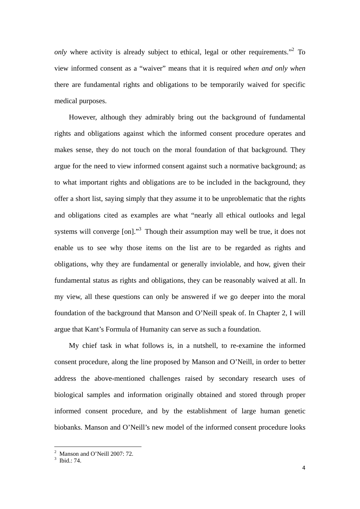*only* where activity is already subject to ethical, legal or other requirements."<sup>2</sup> To view informed consent as a "waiver" means that it is required *when and only when* there are fundamental rights and obligations to be temporarily waived for specific medical purposes.

However, although they admirably bring out the background of fundamental rights and obligations against which the informed consent procedure operates and makes sense, they do not touch on the moral foundation of that background. They argue for the need to view informed consent against such a normative background; as to what important rights and obligations are to be included in the background, they offer a short list, saying simply that they assume it to be unproblematic that the rights and obligations cited as examples are what "nearly all ethical outlooks and legal systems will converge [on]."<sup>3</sup> Though their assumption may well be true, it does not enable us to see why those items on the list are to be regarded as rights and obligations, why they are fundamental or generally inviolable, and how, given their fundamental status as rights and obligations, they can be reasonably waived at all. In my view, all these questions can only be answered if we go deeper into the moral foundation of the background that Manson and O'Neill speak of. In Chapter 2, I will argue that Kant's Formula of Humanity can serve as such a foundation.

My chief task in what follows is, in a nutshell, to re-examine the informed consent procedure, along the line proposed by Manson and O'Neill, in order to better address the above-mentioned challenges raised by secondary research uses of biological samples and information originally obtained and stored through proper informed consent procedure, and by the establishment of large human genetic biobanks. Manson and O'Neill's new model of the informed consent procedure looks

 <sup>2</sup> Manson and O'Neill 2007: 72.

<sup>3</sup> Ibid.: 74.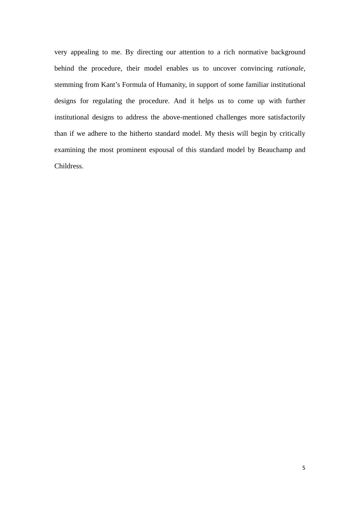very appealing to me. By directing our attention to a rich normative background behind the procedure, their model enables us to uncover convincing *rationale*, stemming from Kant's Formula of Humanity, in support of some familiar institutional designs for regulating the procedure. And it helps us to come up with further institutional designs to address the above-mentioned challenges more satisfactorily than if we adhere to the hitherto standard model. My thesis will begin by critically examining the most prominent espousal of this standard model by Beauchamp and Childress.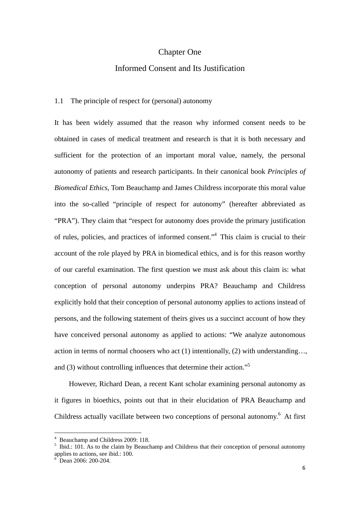## Chapter One

## Informed Consent and Its Justification

#### 1.1 The principle of respect for (personal) autonomy

It has been widely assumed that the reason why informed consent needs to be obtained in cases of medical treatment and research is that it is both necessary and sufficient for the protection of an important moral value, namely, the personal autonomy of patients and research participants. In their canonical book *Principles of Biomedical Ethics*, Tom Beauchamp and James Childress incorporate this moral value into the so-called "principle of respect for autonomy" (hereafter abbreviated as "PRA"). They claim that "respect for autonomy does provide the primary justification of rules, policies, and practices of informed consent."4 This claim is crucial to their account of the role played by PRA in biomedical ethics, and is for this reason worthy of our careful examination. The first question we must ask about this claim is: what conception of personal autonomy underpins PRA? Beauchamp and Childress explicitly hold that their conception of personal autonomy applies to actions instead of persons, and the following statement of theirs gives us a succinct account of how they have conceived personal autonomy as applied to actions: "We analyze autonomous action in terms of normal choosers who act (1) intentionally, (2) with understanding…, and (3) without controlling influences that determine their action."5

However, Richard Dean, a recent Kant scholar examining personal autonomy as it figures in bioethics, points out that in their elucidation of PRA Beauchamp and Childress actually vacillate between two conceptions of personal autonomy.<sup>6</sup> At first

 4 Beauchamp and Childress 2009: 118.

<sup>&</sup>lt;sup>5</sup> Ibid.: 101. As to the claim by Beauchamp and Childress that their conception of personal autonomy applies to actions, see ibid.: 100.

<sup>&</sup>lt;sup>6</sup> Dean 2006: 200-204.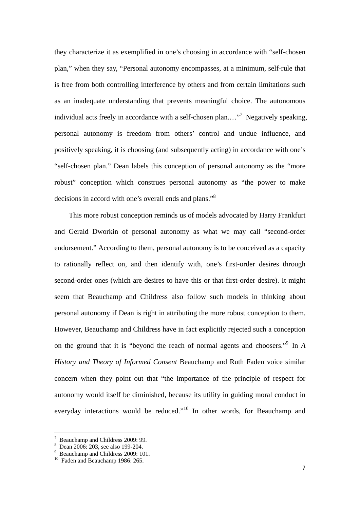they characterize it as exemplified in one's choosing in accordance with "self-chosen plan," when they say, "Personal autonomy encompasses, at a minimum, self-rule that is free from both controlling interference by others and from certain limitations such as an inadequate understanding that prevents meaningful choice. The autonomous individual acts freely in accordance with a self-chosen plan...."<sup>7</sup> Negatively speaking, personal autonomy is freedom from others' control and undue influence, and positively speaking, it is choosing (and subsequently acting) in accordance with one's "self-chosen plan." Dean labels this conception of personal autonomy as the "more robust" conception which construes personal autonomy as "the power to make decisions in accord with one's overall ends and plans."8

This more robust conception reminds us of models advocated by Harry Frankfurt and Gerald Dworkin of personal autonomy as what we may call "second-order endorsement." According to them, personal autonomy is to be conceived as a capacity to rationally reflect on, and then identify with, one's first-order desires through second-order ones (which are desires to have this or that first-order desire). It might seem that Beauchamp and Childress also follow such models in thinking about personal autonomy if Dean is right in attributing the more robust conception to them. However, Beauchamp and Childress have in fact explicitly rejected such a conception on the ground that it is "beyond the reach of normal agents and choosers."9 In *A History and Theory of Informed Consent* Beauchamp and Ruth Faden voice similar concern when they point out that "the importance of the principle of respect for autonomy would itself be diminished, because its utility in guiding moral conduct in everyday interactions would be reduced."<sup>10</sup> In other words, for Beauchamp and

 <sup>7</sup> Beauchamp and Childress 2009: 99.

<sup>8</sup> Dean 2006: 203, see also 199-204.

<sup>&</sup>lt;sup>9</sup> Beauchamp and Childress 2009: 101.

<sup>&</sup>lt;sup>10</sup> Faden and Beauchamp 1986: 265.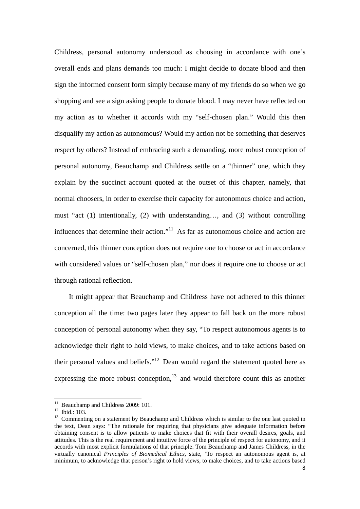Childress, personal autonomy understood as choosing in accordance with one's overall ends and plans demands too much: I might decide to donate blood and then sign the informed consent form simply because many of my friends do so when we go shopping and see a sign asking people to donate blood. I may never have reflected on my action as to whether it accords with my "self-chosen plan." Would this then disqualify my action as autonomous? Would my action not be something that deserves respect by others? Instead of embracing such a demanding, more robust conception of personal autonomy, Beauchamp and Childress settle on a "thinner" one, which they explain by the succinct account quoted at the outset of this chapter, namely, that normal choosers, in order to exercise their capacity for autonomous choice and action, must "act (1) intentionally, (2) with understanding…, and (3) without controlling influences that determine their action."<sup>11</sup> As far as autonomous choice and action are concerned, this thinner conception does not require one to choose or act in accordance with considered values or "self-chosen plan," nor does it require one to choose or act through rational reflection.

It might appear that Beauchamp and Childress have not adhered to this thinner conception all the time: two pages later they appear to fall back on the more robust conception of personal autonomy when they say, "To respect autonomous agents is to acknowledge their right to hold views, to make choices, and to take actions based on their personal values and beliefs."12 Dean would regard the statement quoted here as expressing the more robust conception, $13$  and would therefore count this as another

<sup>&</sup>lt;sup>11</sup> Beauchamp and Childress 2009: 101.

 $12$  Ibid.: 103.

<sup>&</sup>lt;sup>13</sup> Commenting on a statement by Beauchamp and Childress which is similar to the one last quoted in the text, Dean says: "The rationale for requiring that physicians give adequate information before obtaining consent is to allow patients to make choices that fit with their overall desires, goals, and attitudes. This is the real requirement and intuitive force of the principle of respect for autonomy, and it accords with most explicit formulations of that principle. Tom Beauchamp and James Childress, in the virtually canonical *Principles of Biomedical Ethics*, state, 'To respect an autonomous agent is, at minimum, to acknowledge that person's right to hold views, to make choices, and to take actions based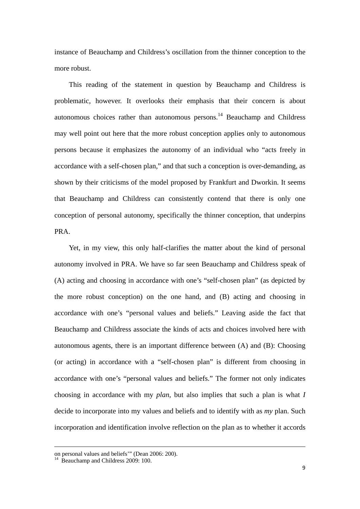instance of Beauchamp and Childress's oscillation from the thinner conception to the more robust.

This reading of the statement in question by Beauchamp and Childress is problematic, however. It overlooks their emphasis that their concern is about autonomous choices rather than autonomous persons.14 Beauchamp and Childress may well point out here that the more robust conception applies only to autonomous persons because it emphasizes the autonomy of an individual who "acts freely in accordance with a self-chosen plan," and that such a conception is over-demanding, as shown by their criticisms of the model proposed by Frankfurt and Dworkin. It seems that Beauchamp and Childress can consistently contend that there is only one conception of personal autonomy, specifically the thinner conception, that underpins PRA.

Yet, in my view, this only half-clarifies the matter about the kind of personal autonomy involved in PRA. We have so far seen Beauchamp and Childress speak of (A) acting and choosing in accordance with one's "self-chosen plan" (as depicted by the more robust conception) on the one hand, and (B) acting and choosing in accordance with one's "personal values and beliefs." Leaving aside the fact that Beauchamp and Childress associate the kinds of acts and choices involved here with autonomous agents, there is an important difference between (A) and (B): Choosing (or acting) in accordance with a "self-chosen plan" is different from choosing in accordance with one's "personal values and beliefs." The former not only indicates choosing in accordance with my *plan*, but also implies that such a plan is what *I* decide to incorporate into my values and beliefs and to identify with as *my* plan. Such incorporation and identification involve reflection on the plan as to whether it accords

<u> 1989 - Johann Barbara, marka a shekara tsara 1989 - An tsara 1989 - An tsara 1989 - An tsara 1989 - An tsara</u>

on personal values and beliefs'" (Dean 2006: 200).

<sup>&</sup>lt;sup>14</sup> Beauchamp and Childress 2009: 100.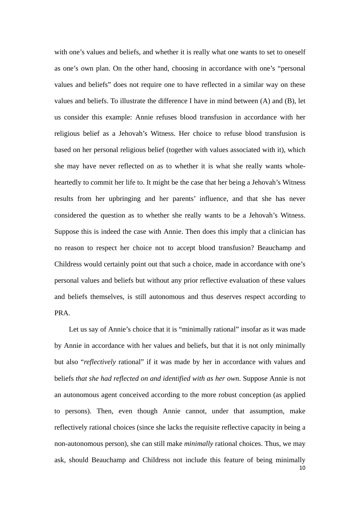with one's values and beliefs, and whether it is really what one wants to set to oneself as one's own plan. On the other hand, choosing in accordance with one's "personal values and beliefs" does not require one to have reflected in a similar way on these values and beliefs. To illustrate the difference I have in mind between (A) and (B), let us consider this example: Annie refuses blood transfusion in accordance with her religious belief as a Jehovah's Witness. Her choice to refuse blood transfusion is based on her personal religious belief (together with values associated with it), which she may have never reflected on as to whether it is what she really wants wholeheartedly to commit her life to. It might be the case that her being a Jehovah's Witness results from her upbringing and her parents' influence, and that she has never considered the question as to whether she really wants to be a Jehovah's Witness. Suppose this is indeed the case with Annie. Then does this imply that a clinician has no reason to respect her choice not to accept blood transfusion? Beauchamp and Childress would certainly point out that such a choice, made in accordance with one's personal values and beliefs but without any prior reflective evaluation of these values and beliefs themselves, is still autonomous and thus deserves respect according to PRA.

10 Let us say of Annie's choice that it is "minimally rational" insofar as it was made by Annie in accordance with her values and beliefs, but that it is not only minimally but also "*reflectively* rational" if it was made by her in accordance with values and beliefs *that she had reflected on and identified with as her own*. Suppose Annie is not an autonomous agent conceived according to the more robust conception (as applied to persons). Then, even though Annie cannot, under that assumption, make reflectively rational choices (since she lacks the requisite reflective capacity in being a non-autonomous person), she can still make *minimally* rational choices. Thus, we may ask, should Beauchamp and Childress not include this feature of being minimally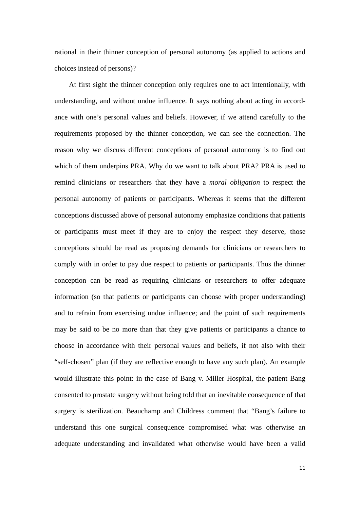rational in their thinner conception of personal autonomy (as applied to actions and choices instead of persons)?

At first sight the thinner conception only requires one to act intentionally, with understanding, and without undue influence. It says nothing about acting in accordance with one's personal values and beliefs. However, if we attend carefully to the requirements proposed by the thinner conception, we can see the connection. The reason why we discuss different conceptions of personal autonomy is to find out which of them underpins PRA. Why do we want to talk about PRA? PRA is used to remind clinicians or researchers that they have a *moral obligation* to respect the personal autonomy of patients or participants. Whereas it seems that the different conceptions discussed above of personal autonomy emphasize conditions that patients or participants must meet if they are to enjoy the respect they deserve, those conceptions should be read as proposing demands for clinicians or researchers to comply with in order to pay due respect to patients or participants. Thus the thinner conception can be read as requiring clinicians or researchers to offer adequate information (so that patients or participants can choose with proper understanding) and to refrain from exercising undue influence; and the point of such requirements may be said to be no more than that they give patients or participants a chance to choose in accordance with their personal values and beliefs, if not also with their "self-chosen" plan (if they are reflective enough to have any such plan). An example would illustrate this point: in the case of Bang v. Miller Hospital, the patient Bang consented to prostate surgery without being told that an inevitable consequence of that surgery is sterilization. Beauchamp and Childress comment that "Bang's failure to understand this one surgical consequence compromised what was otherwise an adequate understanding and invalidated what otherwise would have been a valid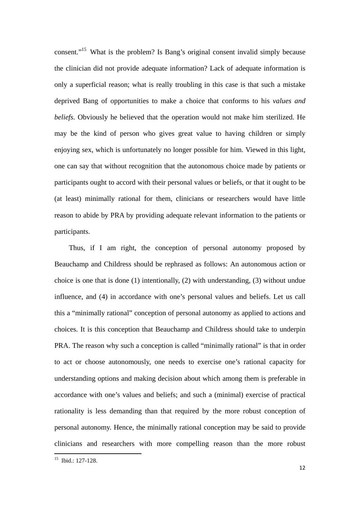consent."15 What is the problem? Is Bang's original consent invalid simply because the clinician did not provide adequate information? Lack of adequate information is only a superficial reason; what is really troubling in this case is that such a mistake deprived Bang of opportunities to make a choice that conforms to his *values and beliefs.* Obviously he believed that the operation would not make him sterilized. He may be the kind of person who gives great value to having children or simply enjoying sex, which is unfortunately no longer possible for him. Viewed in this light, one can say that without recognition that the autonomous choice made by patients or participants ought to accord with their personal values or beliefs, or that it ought to be (at least) minimally rational for them, clinicians or researchers would have little reason to abide by PRA by providing adequate relevant information to the patients or participants.

Thus, if I am right, the conception of personal autonomy proposed by Beauchamp and Childress should be rephrased as follows: An autonomous action or choice is one that is done (1) intentionally, (2) with understanding, (3) without undue influence, and (4) in accordance with one's personal values and beliefs. Let us call this a "minimally rational" conception of personal autonomy as applied to actions and choices. It is this conception that Beauchamp and Childress should take to underpin PRA. The reason why such a conception is called "minimally rational" is that in order to act or choose autonomously, one needs to exercise one's rational capacity for understanding options and making decision about which among them is preferable in accordance with one's values and beliefs; and such a (minimal) exercise of practical rationality is less demanding than that required by the more robust conception of personal autonomy. Hence, the minimally rational conception may be said to provide clinicians and researchers with more compelling reason than the more robust

<sup>&</sup>lt;sup>15</sup> Ibid.: 127-128.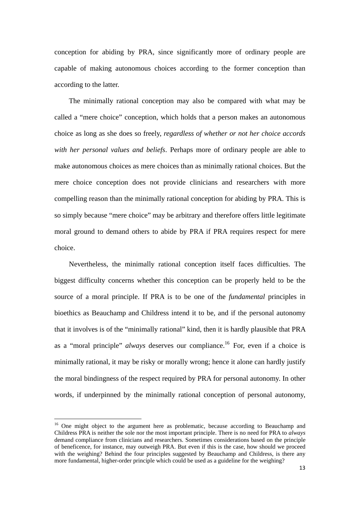conception for abiding by PRA, since significantly more of ordinary people are capable of making autonomous choices according to the former conception than according to the latter.

The minimally rational conception may also be compared with what may be called a "mere choice" conception, which holds that a person makes an autonomous choice as long as she does so freely, *regardless of whether or not her choice accords with her personal values and beliefs*. Perhaps more of ordinary people are able to make autonomous choices as mere choices than as minimally rational choices. But the mere choice conception does not provide clinicians and researchers with more compelling reason than the minimally rational conception for abiding by PRA. This is so simply because "mere choice" may be arbitrary and therefore offers little legitimate moral ground to demand others to abide by PRA if PRA requires respect for mere choice.

Nevertheless, the minimally rational conception itself faces difficulties. The biggest difficulty concerns whether this conception can be properly held to be the source of a moral principle. If PRA is to be one of the *fundamental* principles in bioethics as Beauchamp and Childress intend it to be, and if the personal autonomy that it involves is of the "minimally rational" kind, then it is hardly plausible that PRA as a "moral principle" *always* deserves our compliance.<sup>16</sup> For, even if a choice is minimally rational, it may be risky or morally wrong; hence it alone can hardly justify the moral bindingness of the respect required by PRA for personal autonomy. In other words, if underpinned by the minimally rational conception of personal autonomy,

 $16$  One might object to the argument here as problematic, because according to Beauchamp and Childress PRA is neither the sole nor the most important principle. There is no need for PRA to *always* demand compliance from clinicians and researchers. Sometimes considerations based on the principle of beneficence, for instance, may outweigh PRA. But even if this is the case, how should we proceed with the weighing? Behind the four principles suggested by Beauchamp and Childress, is there any more fundamental, higher-order principle which could be used as a guideline for the weighing?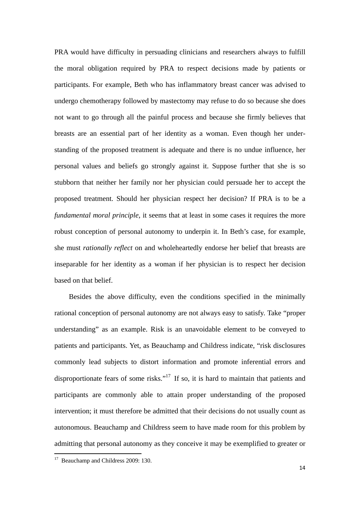PRA would have difficulty in persuading clinicians and researchers always to fulfill the moral obligation required by PRA to respect decisions made by patients or participants. For example, Beth who has inflammatory breast cancer was advised to undergo chemotherapy followed by mastectomy may refuse to do so because she does not want to go through all the painful process and because she firmly believes that breasts are an essential part of her identity as a woman. Even though her understanding of the proposed treatment is adequate and there is no undue influence, her personal values and beliefs go strongly against it. Suppose further that she is so stubborn that neither her family nor her physician could persuade her to accept the proposed treatment. Should her physician respect her decision? If PRA is to be a *fundamental moral principle*, it seems that at least in some cases it requires the more robust conception of personal autonomy to underpin it. In Beth's case, for example, she must *rationally reflect* on and wholeheartedly endorse her belief that breasts are inseparable for her identity as a woman if her physician is to respect her decision based on that belief.

Besides the above difficulty, even the conditions specified in the minimally rational conception of personal autonomy are not always easy to satisfy. Take "proper understanding" as an example. Risk is an unavoidable element to be conveyed to patients and participants. Yet, as Beauchamp and Childress indicate, "risk disclosures commonly lead subjects to distort information and promote inferential errors and disproportionate fears of some risks."<sup>17</sup> If so, it is hard to maintain that patients and participants are commonly able to attain proper understanding of the proposed intervention; it must therefore be admitted that their decisions do not usually count as autonomous. Beauchamp and Childress seem to have made room for this problem by admitting that personal autonomy as they conceive it may be exemplified to greater or

<sup>&</sup>lt;sup>17</sup> Beauchamp and Childress 2009: 130.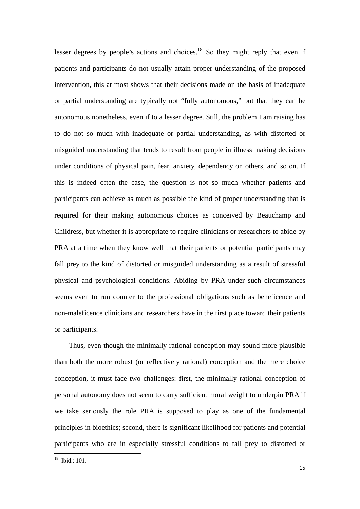lesser degrees by people's actions and choices.<sup>18</sup> So they might reply that even if patients and participants do not usually attain proper understanding of the proposed intervention, this at most shows that their decisions made on the basis of inadequate or partial understanding are typically not "fully autonomous," but that they can be autonomous nonetheless, even if to a lesser degree. Still, the problem I am raising has to do not so much with inadequate or partial understanding, as with distorted or misguided understanding that tends to result from people in illness making decisions under conditions of physical pain, fear, anxiety, dependency on others, and so on. If this is indeed often the case, the question is not so much whether patients and participants can achieve as much as possible the kind of proper understanding that is required for their making autonomous choices as conceived by Beauchamp and Childress, but whether it is appropriate to require clinicians or researchers to abide by PRA at a time when they know well that their patients or potential participants may fall prey to the kind of distorted or misguided understanding as a result of stressful physical and psychological conditions. Abiding by PRA under such circumstances seems even to run counter to the professional obligations such as beneficence and non-maleficence clinicians and researchers have in the first place toward their patients or participants.

Thus, even though the minimally rational conception may sound more plausible than both the more robust (or reflectively rational) conception and the mere choice conception, it must face two challenges: first, the minimally rational conception of personal autonomy does not seem to carry sufficient moral weight to underpin PRA if we take seriously the role PRA is supposed to play as one of the fundamental principles in bioethics; second, there is significant likelihood for patients and potential participants who are in especially stressful conditions to fall prey to distorted or

 $18$  Ibid  $\cdot$  101.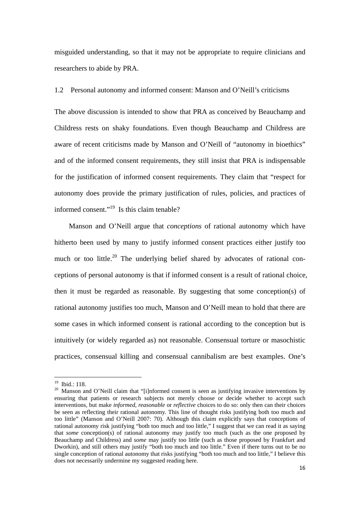misguided understanding, so that it may not be appropriate to require clinicians and researchers to abide by PRA.

#### 1.2 Personal autonomy and informed consent: Manson and O'Neill's criticisms

The above discussion is intended to show that PRA as conceived by Beauchamp and Childress rests on shaky foundations. Even though Beauchamp and Childress are aware of recent criticisms made by Manson and O'Neill of "autonomy in bioethics" and of the informed consent requirements, they still insist that PRA is indispensable for the justification of informed consent requirements. They claim that "respect for autonomy does provide the primary justification of rules, policies, and practices of informed consent."<sup>19</sup> Is this claim tenable?

Manson and O'Neill argue that *conceptions* of rational autonomy which have hitherto been used by many to justify informed consent practices either justify too much or too little.<sup>20</sup> The underlying belief shared by advocates of rational conceptions of personal autonomy is that if informed consent is a result of rational choice, then it must be regarded as reasonable. By suggesting that some conception(s) of rational autonomy justifies too much, Manson and O'Neill mean to hold that there are some cases in which informed consent is rational according to the conception but is intuitively (or widely regarded as) not reasonable. Consensual torture or masochistic practices, consensual killing and consensual cannibalism are best examples. One's

<sup>&</sup>lt;sup>19</sup> Ibid.: 118.

<sup>&</sup>lt;sup>20</sup> Manson and O'Neill claim that "[i]nformed consent is seen as justifying invasive interventions by ensuring that patients or research subjects not merely choose or decide whether to accept such interventions, but make *informed, reasonable* or *reflective* choices to do so: only then can their choices be seen as reflecting their rational autonomy. This line of thought risks justifying both too much and too little" (Manson and O'Neill 2007: 70). Although this claim explicitly says that conceptions of rational autonomy risk justifying "both too much and too little," I suggest that we can read it as saying that *some* conception(s) of rational autonomy may justify too much (such as the one proposed by Beauchamp and Childress) and *some* may justify too little (such as those proposed by Frankfurt and Dworkin), and still others may justify "both too much and too little." Even if there turns out to be no single conception of rational autonomy that risks justifying "both too much and too little," I believe this does not necessarily undermine my suggested reading here.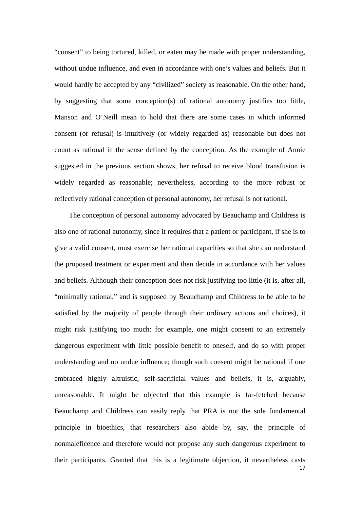"consent" to being tortured, killed, or eaten may be made with proper understanding, without undue influence, and even in accordance with one's values and beliefs. But it would hardly be accepted by any "civilized" society as reasonable. On the other hand, by suggesting that some conception(s) of rational autonomy justifies too little, Manson and O'Neill mean to hold that there are some cases in which informed consent (or refusal) is intuitively (or widely regarded as) reasonable but does not count as rational in the sense defined by the conception. As the example of Annie suggested in the previous section shows, her refusal to receive blood transfusion is widely regarded as reasonable; nevertheless, according to the more robust or reflectively rational conception of personal autonomy, her refusal is not rational.

The conception of personal autonomy advocated by Beauchamp and Childress is also one of rational autonomy, since it requires that a patient or participant, if she is to give a valid consent, must exercise her rational capacities so that she can understand the proposed treatment or experiment and then decide in accordance with her values and beliefs. Although their conception does not risk justifying too little (it is, after all, "minimally rational," and is supposed by Beauchamp and Childress to be able to be satisfied by the majority of people through their ordinary actions and choices), it might risk justifying too much: for example, one might consent to an extremely dangerous experiment with little possible benefit to oneself, and do so with proper understanding and no undue influence; though such consent might be rational if one embraced highly altruistic, self-sacrificial values and beliefs, it is, arguably, unreasonable. It might be objected that this example is far-fetched because Beauchamp and Childress can easily reply that PRA is not the sole fundamental principle in bioethics, that researchers also abide by, say, the principle of nonmaleficence and therefore would not propose any such dangerous experiment to their participants. Granted that this is a legitimate objection, it nevertheless casts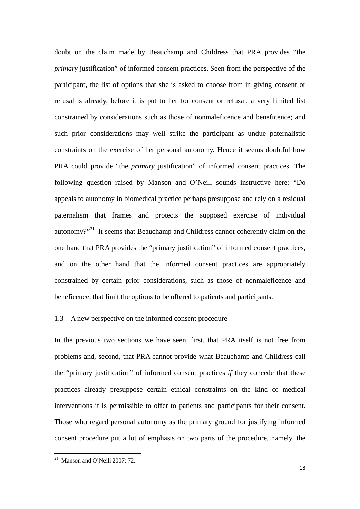doubt on the claim made by Beauchamp and Childress that PRA provides "the *primary* justification" of informed consent practices. Seen from the perspective of the participant, the list of options that she is asked to choose from in giving consent or refusal is already, before it is put to her for consent or refusal, a very limited list constrained by considerations such as those of nonmaleficence and beneficence; and such prior considerations may well strike the participant as undue paternalistic constraints on the exercise of her personal autonomy. Hence it seems doubtful how PRA could provide "the *primary* justification" of informed consent practices. The following question raised by Manson and O'Neill sounds instructive here: "Do appeals to autonomy in biomedical practice perhaps presuppose and rely on a residual paternalism that frames and protects the supposed exercise of individual autonomy?"<sup>21</sup> It seems that Beauchamp and Childress cannot coherently claim on the one hand that PRA provides the "primary justification" of informed consent practices, and on the other hand that the informed consent practices are appropriately constrained by certain prior considerations, such as those of nonmaleficence and beneficence, that limit the options to be offered to patients and participants.

#### 1.3 A new perspective on the informed consent procedure

In the previous two sections we have seen, first, that PRA itself is not free from problems and, second, that PRA cannot provide what Beauchamp and Childress call the "primary justification" of informed consent practices *if* they concede that these practices already presuppose certain ethical constraints on the kind of medical interventions it is permissible to offer to patients and participants for their consent. Those who regard personal autonomy as the primary ground for justifying informed consent procedure put a lot of emphasis on two parts of the procedure, namely, the

  $21$  Manson and O'Neill 2007: 72.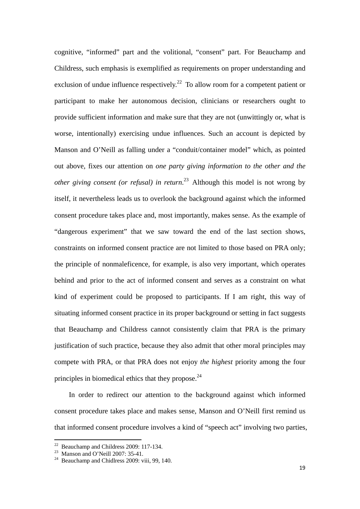cognitive, "informed" part and the volitional, "consent" part. For Beauchamp and Childress, such emphasis is exemplified as requirements on proper understanding and exclusion of undue influence respectively.<sup>22</sup> To allow room for a competent patient or participant to make her autonomous decision, clinicians or researchers ought to provide sufficient information and make sure that they are not (unwittingly or, what is worse, intentionally) exercising undue influences. Such an account is depicted by Manson and O'Neill as falling under a "conduit/container model" which, as pointed out above, fixes our attention on *one party giving information to the other and the other giving consent (or refusal) in return*. 23 Although this model is not wrong by itself, it nevertheless leads us to overlook the background against which the informed consent procedure takes place and, most importantly, makes sense. As the example of "dangerous experiment" that we saw toward the end of the last section shows, constraints on informed consent practice are not limited to those based on PRA only; the principle of nonmaleficence, for example, is also very important, which operates behind and prior to the act of informed consent and serves as a constraint on what kind of experiment could be proposed to participants. If I am right, this way of situating informed consent practice in its proper background or setting in fact suggests that Beauchamp and Childress cannot consistently claim that PRA is the primary justification of such practice, because they also admit that other moral principles may compete with PRA, or that PRA does not enjoy *the highest* priority among the four principles in biomedical ethics that they propose. $^{24}$ 

In order to redirect our attention to the background against which informed consent procedure takes place and makes sense, Manson and O'Neill first remind us that informed consent procedure involves a kind of "speech act" involving two parties,

 $22$  Beauchamp and Childress 2009: 117-134.

<sup>&</sup>lt;sup>23</sup> Manson and O'Neill 2007: 35-41.

<sup>&</sup>lt;sup>24</sup> Beauchamp and Chidlress 2009: viii, 99, 140.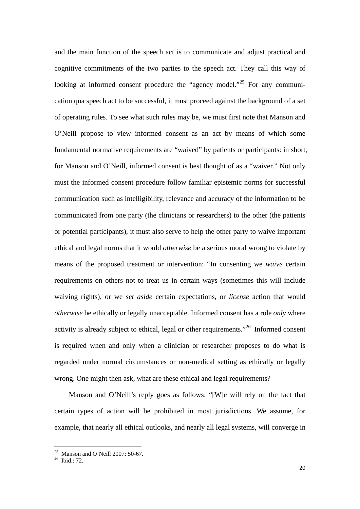and the main function of the speech act is to communicate and adjust practical and cognitive commitments of the two parties to the speech act. They call this way of looking at informed consent procedure the "agency model."<sup>25</sup> For any communication qua speech act to be successful, it must proceed against the background of a set of operating rules. To see what such rules may be, we must first note that Manson and O'Neill propose to view informed consent as an act by means of which some fundamental normative requirements are "waived" by patients or participants: in short, for Manson and O'Neill, informed consent is best thought of as a "waiver." Not only must the informed consent procedure follow familiar epistemic norms for successful communication such as intelligibility, relevance and accuracy of the information to be communicated from one party (the clinicians or researchers) to the other (the patients or potential participants), it must also serve to help the other party to waive important ethical and legal norms that it would *otherwise* be a serious moral wrong to violate by means of the proposed treatment or intervention: "In consenting we *waive* certain requirements on others not to treat us in certain ways (sometimes this will include waiving rights), or we *set aside* certain expectations, or *license* action that would *otherwise* be ethically or legally unacceptable. Informed consent has a role *only* where activity is already subject to ethical, legal or other requirements."26 Informed consent is required when and only when a clinician or researcher proposes to do what is regarded under normal circumstances or non-medical setting as ethically or legally wrong. One might then ask, what are these ethical and legal requirements?

Manson and O'Neill's reply goes as follows: "[W]e will rely on the fact that certain types of action will be prohibited in most jurisdictions. We assume, for example, that nearly all ethical outlooks, and nearly all legal systems, will converge in

  $25$  Manson and O'Neill 2007: 50-67.

 $26$  Ibid.: 72.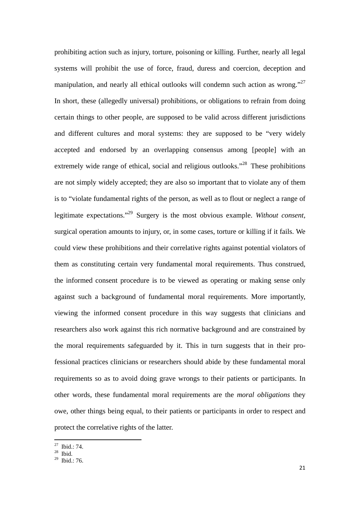prohibiting action such as injury, torture, poisoning or killing. Further, nearly all legal systems will prohibit the use of force, fraud, duress and coercion, deception and manipulation, and nearly all ethical outlooks will condemn such action as wrong."<sup>27</sup> In short, these (allegedly universal) prohibitions, or obligations to refrain from doing certain things to other people, are supposed to be valid across different jurisdictions and different cultures and moral systems: they are supposed to be "very widely accepted and endorsed by an overlapping consensus among [people] with an extremely wide range of ethical, social and religious outlooks."<sup>28</sup> These prohibitions are not simply widely accepted; they are also so important that to violate any of them is to "violate fundamental rights of the person, as well as to flout or neglect a range of legitimate expectations."29 Surgery is the most obvious example. *Without consent,* surgical operation amounts to injury, or, in some cases, torture or killing if it fails. We could view these prohibitions and their correlative rights against potential violators of them as constituting certain very fundamental moral requirements. Thus construed, the informed consent procedure is to be viewed as operating or making sense only against such a background of fundamental moral requirements. More importantly, viewing the informed consent procedure in this way suggests that clinicians and researchers also work against this rich normative background and are constrained by the moral requirements safeguarded by it. This in turn suggests that in their professional practices clinicians or researchers should abide by these fundamental moral requirements so as to avoid doing grave wrongs to their patients or participants. In other words, these fundamental moral requirements are the *moral obligations* they owe, other things being equal, to their patients or participants in order to respect and protect the correlative rights of the latter.

 $27$  Ibid.: 74.

 $28$  Ibid.

 $29$  Ibid.: 76.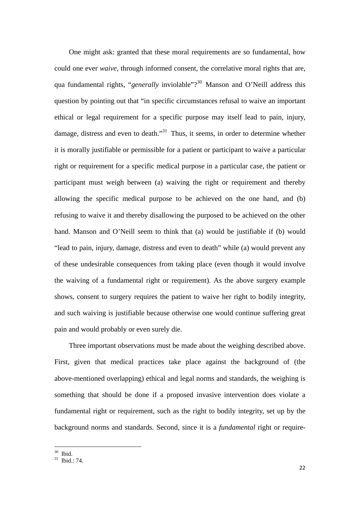One might ask: granted that these moral requirements are so fundamental, how could one ever *waive*, through informed consent, the correlative moral rights that are, qua fundamental rights, "*generally* inviolable"?<sup>30</sup> Manson and O'Neill address this question by pointing out that "in specific circumstances refusal to waive an important ethical or legal requirement for a specific purpose may itself lead to pain, injury, damage, distress and even to death."<sup>31</sup> Thus, it seems, in order to determine whether it is morally justifiable or permissible for a patient or participant to waive a particular right or requirement for a specific medical purpose in a particular case, the patient or participant must weigh between (a) waiving the right or requirement and thereby allowing the specific medical purpose to be achieved on the one hand, and (b) refusing to waive it and thereby disallowing the purposed to be achieved on the other hand. Manson and O'Neill seem to think that (a) would be justifiable if (b) would "lead to pain, injury, damage, distress and even to death" while (a) would prevent any of these undesirable consequences from taking place (even though it would involve the waiving of a fundamental right or requirement). As the above surgery example shows, consent to surgery requires the patient to waive her right to bodily integrity, and such waiving is justifiable because otherwise one would continue suffering great pain and would probably or even surely die.

Three important observations must be made about the weighing described above. First, given that medical practices take place against the background of (the above-mentioned overlapping) ethical and legal norms and standards, the weighing is something that should be done if a proposed invasive intervention does violate a fundamental right or requirement, such as the right to bodily integrity, set up by the background norms and standards. Second, since it is a *fundamental* right or require-

<sup>30</sup> Ibid.

 $31$  Ibid.: 74.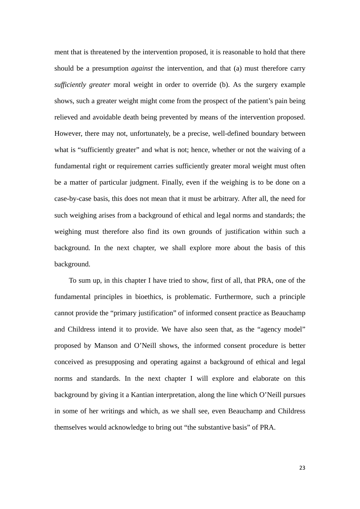ment that is threatened by the intervention proposed, it is reasonable to hold that there should be a presumption *against* the intervention, and that (a) must therefore carry *sufficiently greater* moral weight in order to override (b). As the surgery example shows, such a greater weight might come from the prospect of the patient's pain being relieved and avoidable death being prevented by means of the intervention proposed. However, there may not, unfortunately, be a precise, well-defined boundary between what is "sufficiently greater" and what is not; hence, whether or not the waiving of a fundamental right or requirement carries sufficiently greater moral weight must often be a matter of particular judgment. Finally, even if the weighing is to be done on a case-by-case basis, this does not mean that it must be arbitrary. After all, the need for such weighing arises from a background of ethical and legal norms and standards; the weighing must therefore also find its own grounds of justification within such a background. In the next chapter, we shall explore more about the basis of this background.

To sum up, in this chapter I have tried to show, first of all, that PRA, one of the fundamental principles in bioethics, is problematic. Furthermore, such a principle cannot provide the "primary justification" of informed consent practice as Beauchamp and Childress intend it to provide. We have also seen that, as the "agency model" proposed by Manson and O'Neill shows, the informed consent procedure is better conceived as presupposing and operating against a background of ethical and legal norms and standards. In the next chapter I will explore and elaborate on this background by giving it a Kantian interpretation, along the line which O'Neill pursues in some of her writings and which, as we shall see, even Beauchamp and Childress themselves would acknowledge to bring out "the substantive basis" of PRA.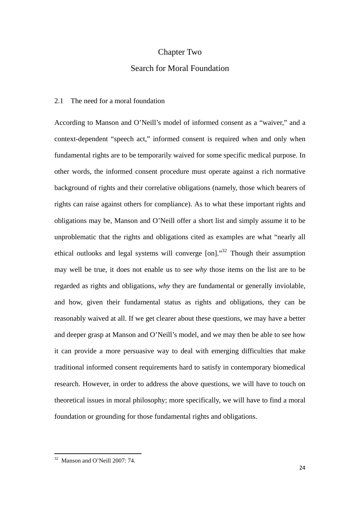## Chapter Two

## Search for Moral Foundation

#### 2.1 The need for a moral foundation

According to Manson and O'Neill's model of informed consent as a "waiver," and a context-dependent "speech act," informed consent is required when and only when fundamental rights are to be temporarily waived for some specific medical purpose. In other words, the informed consent procedure must operate against a rich normative background of rights and their correlative obligations (namely, those which bearers of rights can raise against others for compliance). As to what these important rights and obligations may be, Manson and O'Neill offer a short list and simply assume it to be unproblematic that the rights and obligations cited as examples are what "nearly all ethical outlooks and legal systems will converge [on]."32 Though their assumption may well be true, it does not enable us to see *why* those items on the list are to be regarded as rights and obligations, *why* they are fundamental or generally inviolable, and how, given their fundamental status as rights and obligations, they can be reasonably waived at all. If we get clearer about these questions, we may have a better and deeper grasp at Manson and O'Neill's model, and we may then be able to see how it can provide a more persuasive way to deal with emerging difficulties that make traditional informed consent requirements hard to satisfy in contemporary biomedical research. However, in order to address the above questions, we will have to touch on theoretical issues in moral philosophy; more specifically, we will have to find a moral foundation or grounding for those fundamental rights and obligations.

 32 Manson and O'Neill 2007: 74.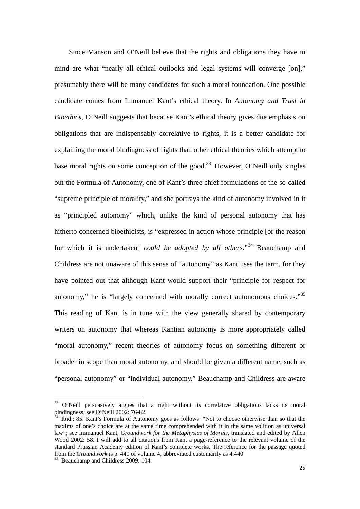Since Manson and O'Neill believe that the rights and obligations they have in mind are what "nearly all ethical outlooks and legal systems will converge [on]," presumably there will be many candidates for such a moral foundation. One possible candidate comes from Immanuel Kant's ethical theory. In *Autonomy and Trust in Bioethics*, O'Neill suggests that because Kant's ethical theory gives due emphasis on obligations that are indispensably correlative to rights, it is a better candidate for explaining the moral bindingness of rights than other ethical theories which attempt to base moral rights on some conception of the good.<sup>33</sup> However, O'Neill only singles out the Formula of Autonomy, one of Kant's three chief formulations of the so-called "supreme principle of morality," and she portrays the kind of autonomy involved in it as "principled autonomy" which, unlike the kind of personal autonomy that has hitherto concerned bioethicists, is "expressed in action whose principle [or the reason for which it is undertaken] *could be adopted by all others*."34 Beauchamp and Childress are not unaware of this sense of "autonomy" as Kant uses the term, for they have pointed out that although Kant would support their "principle for respect for autonomy," he is "largely concerned with morally correct autonomous choices."<sup>35</sup> This reading of Kant is in tune with the view generally shared by contemporary writers on autonomy that whereas Kantian autonomy is more appropriately called "moral autonomy," recent theories of autonomy focus on something different or broader in scope than moral autonomy, and should be given a different name, such as "personal autonomy" or "individual autonomy." Beauchamp and Childress are aware

 $33$  O'Neill persuasively argues that a right without its correlative obligations lacks its moral bindingness; see O'Neill 2002: 76-82.

<sup>34</sup> Ibid.: 85. Kant's Formula of Autonomy goes as follows: "Not to choose otherwise than so that the maxims of one's choice are at the same time comprehended with it in the same volition as universal law"; see Immanuel Kant, *Groundwork for the Metaphysics of Morals*, translated and edited by Allen Wood 2002: 58. I will add to all citations from Kant a page-reference to the relevant volume of the standard Prussian Academy edition of Kant's complete works. The reference for the passage quoted from the *Groundwork* is p. 440 of volume 4, abbreviated customarily as 4:440. 35 Beauchamp and Childress 2009: 104.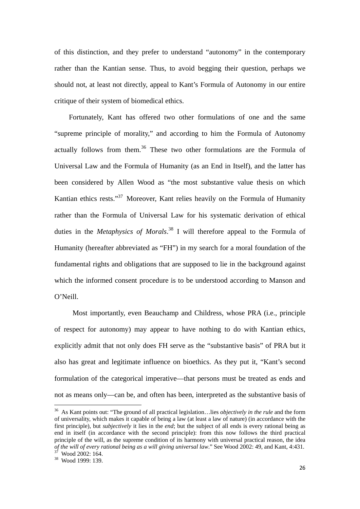of this distinction, and they prefer to understand "autonomy" in the contemporary rather than the Kantian sense. Thus, to avoid begging their question, perhaps we should not, at least not directly, appeal to Kant's Formula of Autonomy in our entire critique of their system of biomedical ethics.

Fortunately, Kant has offered two other formulations of one and the same "supreme principle of morality," and according to him the Formula of Autonomy actually follows from them.<sup>36</sup> These two other formulations are the Formula of Universal Law and the Formula of Humanity (as an End in Itself), and the latter has been considered by Allen Wood as "the most substantive value thesis on which Kantian ethics rests."<sup>37</sup> Moreover, Kant relies heavily on the Formula of Humanity rather than the Formula of Universal Law for his systematic derivation of ethical duties in the *Metaphysics of Morals*. 38 I will therefore appeal to the Formula of Humanity (hereafter abbreviated as "FH") in my search for a moral foundation of the fundamental rights and obligations that are supposed to lie in the background against which the informed consent procedure is to be understood according to Manson and O'Neill.

 Most importantly, even Beauchamp and Childress, whose PRA (i.e., principle of respect for autonomy) may appear to have nothing to do with Kantian ethics, explicitly admit that not only does FH serve as the "substantive basis" of PRA but it also has great and legitimate influence on bioethics. As they put it, "Kant's second formulation of the categorical imperative—that persons must be treated as ends and not as means only—can be, and often has been, interpreted as the substantive basis of

<sup>36</sup> As Kant points out: "The ground of all practical legislation…lies *objectively in the rule* and the form of universality, which makes it capable of being a law (at least a law of nature) (in accordance with the first principle), but *subjectively* it lies in the *end*; but the subject of all ends is every rational being as end in itself (in accordance with the second principle): from this now follows the third practical principle of the will, as the supreme condition of its harmony with universal practical reason, the idea *of the will of every rational being as a will giving universal law*." See Wood 2002: 49, and Kant, 4:431. 37 Wood 2002: 164.

<sup>38</sup> Wood 1999: 139.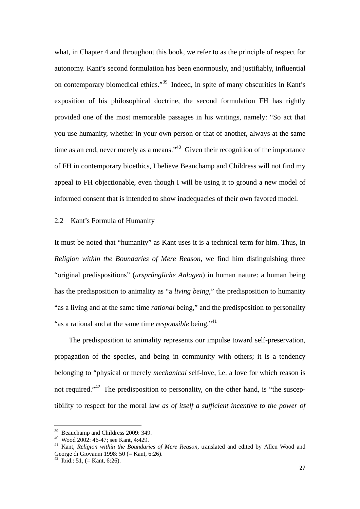what, in Chapter 4 and throughout this book, we refer to as the principle of respect for autonomy. Kant's second formulation has been enormously, and justifiably, influential on contemporary biomedical ethics."39 Indeed, in spite of many obscurities in Kant's exposition of his philosophical doctrine, the second formulation FH has rightly provided one of the most memorable passages in his writings, namely: "So act that you use humanity, whether in your own person or that of another, always at the same time as an end, never merely as a means.<sup>40</sup> Given their recognition of the importance of FH in contemporary bioethics, I believe Beauchamp and Childress will not find my appeal to FH objectionable, even though I will be using it to ground a new model of informed consent that is intended to show inadequacies of their own favored model.

2.2 Kant's Formula of Humanity

It must be noted that "humanity" as Kant uses it is a technical term for him. Thus, in *Religion within the Boundaries of Mere Reason*, we find him distinguishing three "original predispositions" (*ursprüngliche Anlagen*) in human nature: a human being has the predisposition to animality as "a *living being*," the predisposition to humanity "as a living and at the same time *rational* being," and the predisposition to personality "as a rational and at the same time *responsible* being."<sup>41</sup>

The predisposition to animality represents our impulse toward self-preservation, propagation of the species, and being in community with others; it is a tendency belonging to "physical or merely *mechanical* self-love, i.e. a love for which reason is not required."<sup>42</sup> The predisposition to personality, on the other hand, is "the susceptibility to respect for the moral law *as of itself a sufficient incentive to the power of* 

 <sup>39</sup> Beauchamp and Childress 2009: 349.

<sup>40</sup> Wood 2002: 46-47; see Kant, 4:429.

<sup>41</sup> Kant, *Religion within the Boundaries of Mere Reason*, translated and edited by Allen Wood and George di Giovanni 1998: 50 (= Kant, 6:26).

<sup>&</sup>lt;sup>42</sup> Ibid.: 51, (= Kant, 6:26).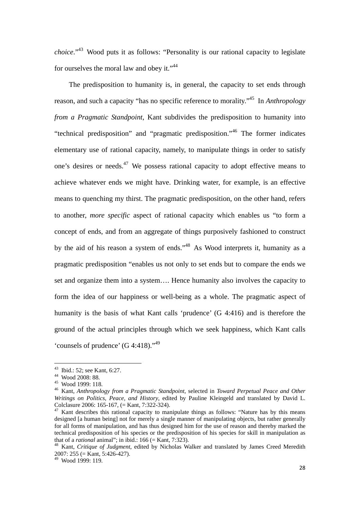*choice*."43 Wood puts it as follows: "Personality is our rational capacity to legislate for ourselves the moral law and obey it."<sup>44</sup>

The predisposition to humanity is, in general, the capacity to set ends through reason, and such a capacity "has no specific reference to morality."45 In *Anthropology from a Pragmatic Standpoint*, Kant subdivides the predisposition to humanity into "technical predisposition" and "pragmatic predisposition."46 The former indicates elementary use of rational capacity, namely, to manipulate things in order to satisfy one's desires or needs.47 We possess rational capacity to adopt effective means to achieve whatever ends we might have. Drinking water, for example, is an effective means to quenching my thirst. The pragmatic predisposition, on the other hand, refers to another, *more specific* aspect of rational capacity which enables us "to form a concept of ends, and from an aggregate of things purposively fashioned to construct by the aid of his reason a system of ends."48 As Wood interprets it, humanity as a pragmatic predisposition "enables us not only to set ends but to compare the ends we set and organize them into a system…. Hence humanity also involves the capacity to form the idea of our happiness or well-being as a whole. The pragmatic aspect of humanity is the basis of what Kant calls 'prudence' (G 4:416) and is therefore the ground of the actual principles through which we seek happiness, which Kant calls 'counsels of prudence'  $(G 4:418)$ ."<sup>49</sup>

 $43$  Ibid.: 52; see Kant, 6:27.

<sup>44</sup> Wood 2008: 88.

<sup>45</sup> Wood 1999: 118.

<sup>46</sup> Kant, *Anthropology from a Pragmatic Standpoint*, selected in *Toward Perpetual Peace and Other Writings on Politics, Peace, and History*, edited by Pauline Kleingeld and translated by David L. Colclasure 2006: 165-167, (= Kant, 7:322-324).

 $47$  Kant describes this rational capacity to manipulate things as follows: "Nature has by this means designed [a human being] not for merely a single manner of manipulating objects, but rather generally for all forms of manipulation, and has thus designed him for the use of reason and thereby marked the technical predisposition of his species or the predisposition of his species for skill in manipulation as that of a *rational* animal"; in ibid.:  $166 (=$  Kant,  $7:323$ ).

<sup>&</sup>lt;sup>48</sup> Kant, *Critique of Judgment*, edited by Nicholas Walker and translated by James Creed Meredith 2007: 255 (=  $\hat{K}$ ant, 5:426-427).

<sup>49</sup> Wood 1999: 119.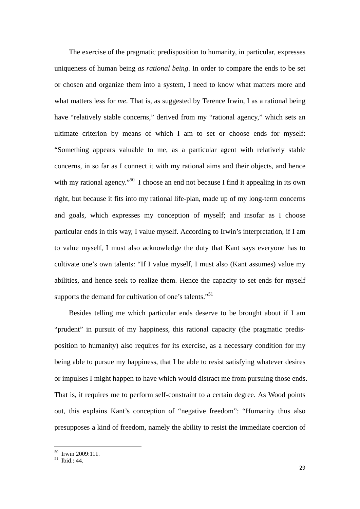The exercise of the pragmatic predisposition to humanity, in particular, expresses uniqueness of human being *as rational being*. In order to compare the ends to be set or chosen and organize them into a system, I need to know what matters more and what matters less for *me*. That is, as suggested by Terence Irwin, I as a rational being have "relatively stable concerns," derived from my "rational agency," which sets an ultimate criterion by means of which I am to set or choose ends for myself: "Something appears valuable to me, as a particular agent with relatively stable concerns, in so far as I connect it with my rational aims and their objects, and hence with my rational agency.<sup>"50</sup> I choose an end not because I find it appealing in its own right, but because it fits into my rational life-plan, made up of my long-term concerns and goals, which expresses my conception of myself; and insofar as I choose particular ends in this way, I value myself. According to Irwin's interpretation, if I am to value myself, I must also acknowledge the duty that Kant says everyone has to cultivate one's own talents: "If I value myself, I must also (Kant assumes) value my abilities, and hence seek to realize them. Hence the capacity to set ends for myself supports the demand for cultivation of one's talents."<sup>51</sup>

Besides telling me which particular ends deserve to be brought about if I am "prudent" in pursuit of my happiness, this rational capacity (the pragmatic predisposition to humanity) also requires for its exercise, as a necessary condition for my being able to pursue my happiness, that I be able to resist satisfying whatever desires or impulses I might happen to have which would distract me from pursuing those ends. That is, it requires me to perform self-constraint to a certain degree. As Wood points out, this explains Kant's conception of "negative freedom": "Humanity thus also presupposes a kind of freedom, namely the ability to resist the immediate coercion of

<sup>50</sup> Irwin 2009:111.

 $51$  Ibid.: 44.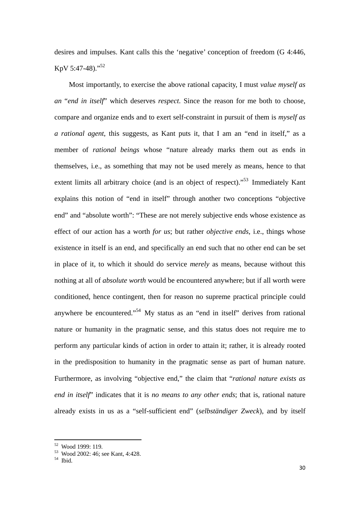desires and impulses. Kant calls this the 'negative' conception of freedom (G 4:446, KpV 5:47-48)."52

Most importantly, to exercise the above rational capacity, I must *value myself as an* "*end in itself*" which deserves *respect*. Since the reason for me both to choose, compare and organize ends and to exert self-constraint in pursuit of them is *myself as a rational agent*, this suggests, as Kant puts it, that I am an "end in itself," as a member of *rational beings* whose "nature already marks them out as ends in themselves, i.e., as something that may not be used merely as means, hence to that extent limits all arbitrary choice (and is an object of respect)."<sup>53</sup> Immediately Kant explains this notion of "end in itself" through another two conceptions "objective end" and "absolute worth": "These are not merely subjective ends whose existence as effect of our action has a worth *for us*; but rather *objective ends*, i.e., things whose existence in itself is an end, and specifically an end such that no other end can be set in place of it, to which it should do service *merely* as means, because without this nothing at all of *absolute worth* would be encountered anywhere; but if all worth were conditioned, hence contingent, then for reason no supreme practical principle could anywhere be encountered."<sup>54</sup> My status as an "end in itself" derives from rational nature or humanity in the pragmatic sense, and this status does not require me to perform any particular kinds of action in order to attain it; rather, it is already rooted in the predisposition to humanity in the pragmatic sense as part of human nature. Furthermore, as involving "objective end," the claim that "*rational nature exists as end in itself*" indicates that it is *no means to any other ends*; that is, rational nature already exists in us as a "self-sufficient end" (*selbständiger Zweck*), and by itself

Wood 1999: 119.

<sup>53</sup> Wood 2002: 46; see Kant, 4:428.

 $54$  Ibid.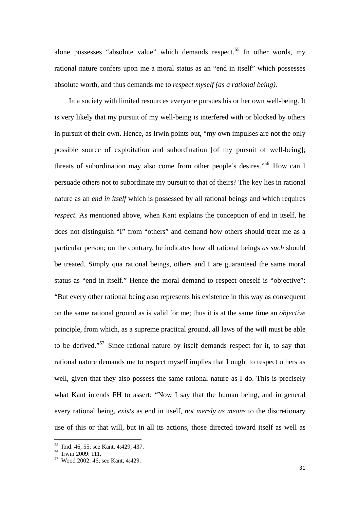alone possesses "absolute value" which demands respect.<sup>55</sup> In other words, my rational nature confers upon me a moral status as an "end in itself" which possesses absolute worth, and thus demands me to *respect myself (as a rational being)*.

In a society with limited resources everyone pursues his or her own well-being. It is very likely that my pursuit of my well-being is interfered with or blocked by others in pursuit of their own. Hence, as Irwin points out, "my own impulses are not the only possible source of exploitation and subordination [of my pursuit of well-being]; threats of subordination may also come from other people's desires."56 How can I persuade others not to subordinate my pursuit to that of theirs? The key lies in rational nature as an *end in itself* which is possessed by all rational beings and which requires *respect*. As mentioned above, when Kant explains the conception of end in itself, he does not distinguish "I" from "others" and demand how others should treat me as a particular person; on the contrary, he indicates how all rational beings *as such* should be treated. Simply qua rational beings, others and I are guaranteed the same moral status as "end in itself." Hence the moral demand to respect oneself is "objective": "But every other rational being also represents his existence in this way as consequent on the same rational ground as is valid for me; thus it is at the same time an *objective*  principle, from which, as a supreme practical ground, all laws of the will must be able to be derived."57 Since rational nature by itself demands respect for it, to say that rational nature demands me to respect myself implies that I ought to respect others as well, given that they also possess the same rational nature as I do. This is precisely what Kant intends FH to assert: "Now I say that the human being, and in general every rational being, *exists* as end in itself, *not merely as means* to the discretionary use of this or that will, but in all its actions, those directed toward itself as well as

 55 Ibid: 46, 55; see Kant, 4:429, 437.

<sup>56</sup> Irwin 2009: 111.

<sup>57</sup> Wood 2002: 46; see Kant, 4:429.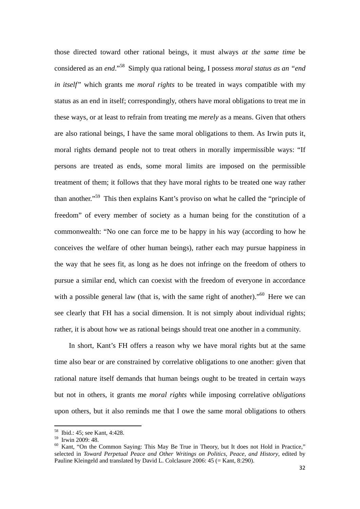those directed toward other rational beings, it must always *at the same time* be considered as an *end*."58 Simply qua rational being, I possess *moral status as an "end in itself"* which grants me *moral rights* to be treated in ways compatible with my status as an end in itself; correspondingly, others have moral obligations to treat me in these ways, or at least to refrain from treating me *merely* as a means. Given that others are also rational beings, I have the same moral obligations to them. As Irwin puts it, moral rights demand people not to treat others in morally impermissible ways: "If persons are treated as ends, some moral limits are imposed on the permissible treatment of them; it follows that they have moral rights to be treated one way rather than another."59 This then explains Kant's proviso on what he called the "principle of freedom" of every member of society as a human being for the constitution of a commonwealth: "No one can force me to be happy in his way (according to how he conceives the welfare of other human beings), rather each may pursue happiness in the way that he sees fit, as long as he does not infringe on the freedom of others to pursue a similar end, which can coexist with the freedom of everyone in accordance with a possible general law (that is, with the same right of another).<sup>"60</sup> Here we can see clearly that FH has a social dimension. It is not simply about individual rights; rather, it is about how we as rational beings should treat one another in a community.

In short, Kant's FH offers a reason why we have moral rights but at the same time also bear or are constrained by correlative obligations to one another: given that rational nature itself demands that human beings ought to be treated in certain ways but not in others, it grants me *moral rights* while imposing correlative *obligations*  upon others, but it also reminds me that I owe the same moral obligations to others

<sup>58</sup> Ibid.: 45; see Kant, 4:428.

<sup>59</sup> Irwin 2009: 48.

<sup>&</sup>lt;sup>60</sup> Kant, "On the Common Saying: This May Be True in Theory, but It does not Hold in Practice," selected in *Toward Perpetual Peace and Other Writings on Politics, Peace, and History*, edited by Pauline Kleingeld and translated by David L. Colclasure 2006: 45 (= Kant, 8:290).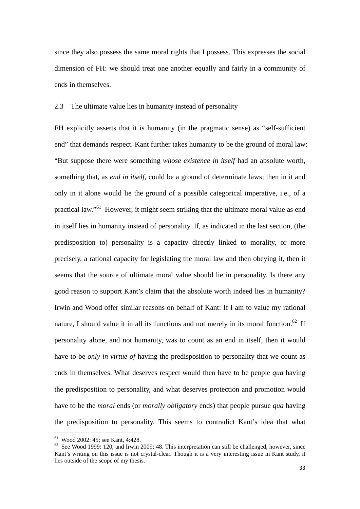since they also possess the same moral rights that I possess. This expresses the social dimension of FH: we should treat one another equally and fairly in a community of ends in themselves.

#### 2.3 The ultimate value lies in humanity instead of personality

FH explicitly asserts that it is humanity (in the pragmatic sense) as "self-sufficient end" that demands respect. Kant further takes humanity to be the ground of moral law: "But suppose there were something *whose existence in itself* had an absolute worth, something that, as *end in itself*, could be a ground of determinate laws; then in it and only in it alone would lie the ground of a possible categorical imperative, i.e., of a practical law."61 However, it might seem striking that the ultimate moral value as end in itself lies in humanity instead of personality. If, as indicated in the last section, (the predisposition to) personality is a capacity directly linked to morality, or more precisely, a rational capacity for legislating the moral law and then obeying it, then it seems that the source of ultimate moral value should lie in personality. Is there any good reason to support Kant's claim that the absolute worth indeed lies in humanity? Irwin and Wood offer similar reasons on behalf of Kant: If I am to value my rational nature, I should value it in all its functions and not merely in its moral function.<sup>62</sup> If personality alone, and not humanity, was to count as an end in itself, then it would have to be *only in virtue of* having the predisposition to personality that we count as ends in themselves. What deserves respect would then have to be people *qua* having the predisposition to personality, and what deserves protection and promotion would have to be the *moral* ends (or *morally obligatory* ends) that people pursue *qua* having the predisposition to personality. This seems to contradict Kant's idea that what

 61 Wood 2002: 45; see Kant, 4:428.

 $62$  See Wood 1999: 120, and Irwin 2009: 48. This interpretation can still be challenged, however, since Kant's writing on this issue is not crystal-clear. Though it is a very interesting issue in Kant study, it lies outside of the scope of my thesis.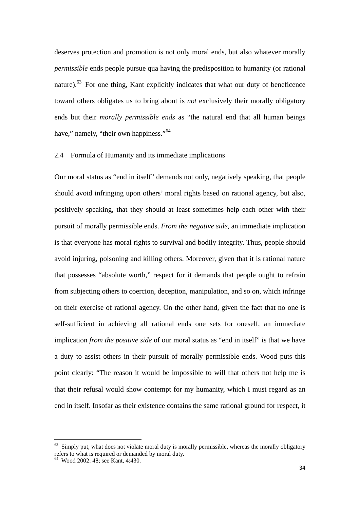deserves protection and promotion is not only moral ends, but also whatever morally *permissible* ends people pursue qua having the predisposition to humanity (or rational nature).<sup>63</sup> For one thing, Kant explicitly indicates that what our duty of beneficence toward others obligates us to bring about is *not* exclusively their morally obligatory ends but their *morally permissible ends* as "the natural end that all human beings have," namely, "their own happiness."<sup>64</sup>

## 2.4 Formula of Humanity and its immediate implications

Our moral status as "end in itself" demands not only, negatively speaking, that people should avoid infringing upon others' moral rights based on rational agency, but also, positively speaking, that they should at least sometimes help each other with their pursuit of morally permissible ends. *From the negative side*, an immediate implication is that everyone has moral rights to survival and bodily integrity. Thus, people should avoid injuring, poisoning and killing others. Moreover, given that it is rational nature that possesses "absolute worth," respect for it demands that people ought to refrain from subjecting others to coercion, deception, manipulation, and so on, which infringe on their exercise of rational agency. On the other hand, given the fact that no one is self-sufficient in achieving all rational ends one sets for oneself, an immediate implication *from the positive side* of our moral status as "end in itself" is that we have a duty to assist others in their pursuit of morally permissible ends. Wood puts this point clearly: "The reason it would be impossible to will that others not help me is that their refusal would show contempt for my humanity, which I must regard as an end in itself. Insofar as their existence contains the same rational ground for respect, it

 $<sup>63</sup>$  Simply put, what does not violate moral duty is morally permissible, whereas the morally obligatory</sup> refers to what is required or demanded by moral duty.

<sup>64</sup> Wood 2002: 48; see Kant, 4:430.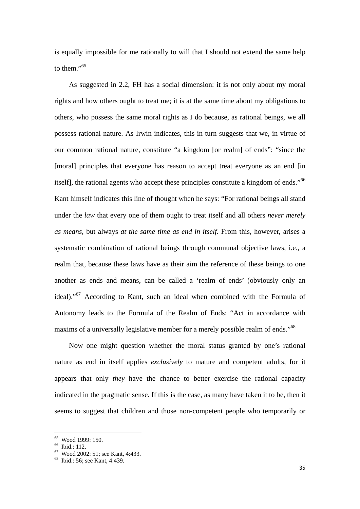is equally impossible for me rationally to will that I should not extend the same help to them."<sup>65</sup>

As suggested in 2.2, FH has a social dimension: it is not only about my moral rights and how others ought to treat me; it is at the same time about my obligations to others, who possess the same moral rights as I do because, as rational beings, we all possess rational nature. As Irwin indicates, this in turn suggests that we, in virtue of our common rational nature, constitute "a kingdom [or realm] of ends": "since the [moral] principles that everyone has reason to accept treat everyone as an end [in] itself], the rational agents who accept these principles constitute a kingdom of ends."<sup>66</sup> Kant himself indicates this line of thought when he says: "For rational beings all stand under the *law* that every one of them ought to treat itself and all others *never merely as means*, but always *at the same time as end in itself*. From this, however, arises a systematic combination of rational beings through communal objective laws, i.e., a realm that, because these laws have as their aim the reference of these beings to one another as ends and means, can be called a 'realm of ends' (obviously only an ideal)."<sup>67</sup> According to Kant, such an ideal when combined with the Formula of Autonomy leads to the Formula of the Realm of Ends: "Act in accordance with maxims of a universally legislative member for a merely possible realm of ends."<sup>68</sup>

Now one might question whether the moral status granted by one's rational nature as end in itself applies *exclusively* to mature and competent adults, for it appears that only *they* have the chance to better exercise the rational capacity indicated in the pragmatic sense. If this is the case, as many have taken it to be, then it seems to suggest that children and those non-competent people who temporarily or

<sup>65</sup> Wood 1999: 150.

<sup>66</sup> Ibid.: 112.

<sup>67</sup> Wood 2002: 51; see Kant, 4:433.

<sup>68</sup> Ibid.: 56; see Kant, 4:439.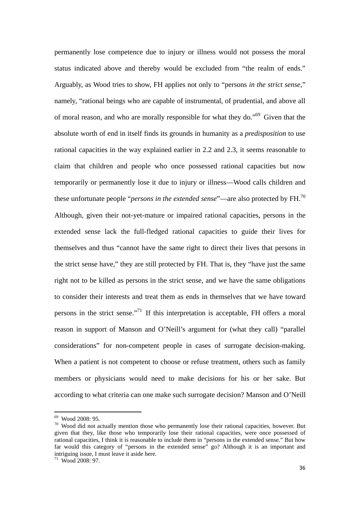permanently lose competence due to injury or illness would not possess the moral status indicated above and thereby would be excluded from "the realm of ends." Arguably, as Wood tries to show, FH applies not only to "persons *in the strict sense*," namely, "rational beings who are capable of instrumental, of prudential, and above all of moral reason, and who are morally responsible for what they do."69 Given that the absolute worth of end in itself finds its grounds in humanity as a *predisposition* to use rational capacities in the way explained earlier in 2.2 and 2.3, it seems reasonable to claim that children and people who once possessed rational capacities but now temporarily or permanently lose it due to injury or illness—Wood calls children and these unfortunate people "*persons in the extended sense*"—are also protected by FH.70 Although, given their not-yet-mature or impaired rational capacities, persons in the extended sense lack the full-fledged rational capacities to guide their lives for themselves and thus "cannot have the same right to direct their lives that persons in the strict sense have," they are still protected by FH. That is, they "have just the same right not to be killed as persons in the strict sense, and we have the same obligations to consider their interests and treat them as ends in themselves that we have toward persons in the strict sense."<sup>71</sup> If this interpretation is acceptable, FH offers a moral reason in support of Manson and O'Neill's argument for (what they call) "parallel considerations" for non-competent people in cases of surrogate decision-making. When a patient is not competent to choose or refuse treatment, others such as family members or physicians would need to make decisions for his or her sake. But according to what criteria can one make such surrogate decision? Manson and O'Neill

<sup>69</sup> Wood 2008: 95.

 $70$  Wood did not actually mention those who permanently lose their rational capacities, however. But given that they, like those who temporarily lose their rational capacities, were once possessed of rational capacities, I think it is reasonable to include them in "persons in the extended sense." But how far would this category of "persons in the extended sense" go? Although it is an important and intriguing issue, I must leave it aside here.

 $71$  Wood 2008: 97.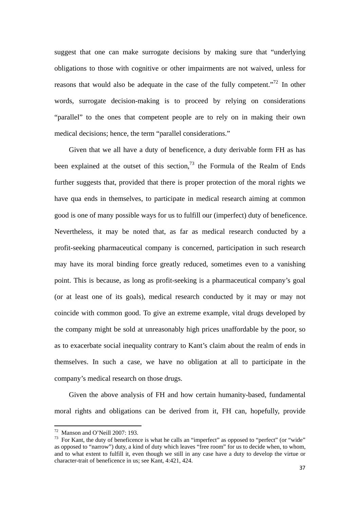suggest that one can make surrogate decisions by making sure that "underlying obligations to those with cognitive or other impairments are not waived, unless for reasons that would also be adequate in the case of the fully competent."<sup>72</sup> In other words, surrogate decision-making is to proceed by relying on considerations "parallel" to the ones that competent people are to rely on in making their own medical decisions; hence, the term "parallel considerations."

Given that we all have a duty of beneficence, a duty derivable form FH as has been explained at the outset of this section,<sup>73</sup> the Formula of the Realm of Ends further suggests that, provided that there is proper protection of the moral rights we have qua ends in themselves, to participate in medical research aiming at common good is one of many possible ways for us to fulfill our (imperfect) duty of beneficence. Nevertheless, it may be noted that, as far as medical research conducted by a profit-seeking pharmaceutical company is concerned, participation in such research may have its moral binding force greatly reduced, sometimes even to a vanishing point. This is because, as long as profit-seeking is a pharmaceutical company's goal (or at least one of its goals), medical research conducted by it may or may not coincide with common good. To give an extreme example, vital drugs developed by the company might be sold at unreasonably high prices unaffordable by the poor, so as to exacerbate social inequality contrary to Kant's claim about the realm of ends in themselves. In such a case, we have no obligation at all to participate in the company's medical research on those drugs.

Given the above analysis of FH and how certain humanity-based, fundamental moral rights and obligations can be derived from it, FH can, hopefully, provide

 72 Manson and O'Neill 2007: 193.

 $73$  For Kant, the duty of beneficence is what he calls an "imperfect" as opposed to "perfect" (or "wide" as opposed to "narrow") duty, a kind of duty which leaves "free room" for us to decide when, to whom, and to what extent to fulfill it, even though we still in any case have a duty to develop the virtue or character-trait of beneficence in us; see Kant, 4:421, 424.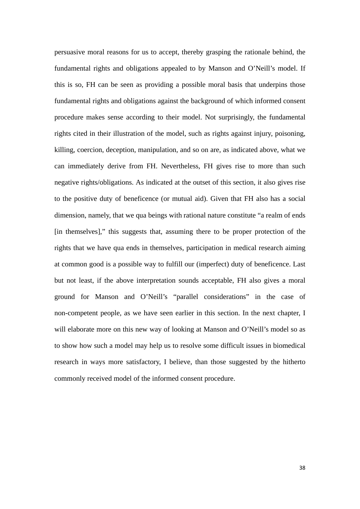persuasive moral reasons for us to accept, thereby grasping the rationale behind, the fundamental rights and obligations appealed to by Manson and O'Neill's model. If this is so, FH can be seen as providing a possible moral basis that underpins those fundamental rights and obligations against the background of which informed consent procedure makes sense according to their model. Not surprisingly, the fundamental rights cited in their illustration of the model, such as rights against injury, poisoning, killing, coercion, deception, manipulation, and so on are, as indicated above, what we can immediately derive from FH. Nevertheless, FH gives rise to more than such negative rights/obligations. As indicated at the outset of this section, it also gives rise to the positive duty of beneficence (or mutual aid). Given that FH also has a social dimension, namely, that we qua beings with rational nature constitute "a realm of ends [in themselves]," this suggests that, assuming there to be proper protection of the rights that we have qua ends in themselves, participation in medical research aiming at common good is a possible way to fulfill our (imperfect) duty of beneficence. Last but not least, if the above interpretation sounds acceptable, FH also gives a moral ground for Manson and O'Neill's "parallel considerations" in the case of non-competent people, as we have seen earlier in this section. In the next chapter, I will elaborate more on this new way of looking at Manson and O'Neill's model so as to show how such a model may help us to resolve some difficult issues in biomedical research in ways more satisfactory, I believe, than those suggested by the hitherto commonly received model of the informed consent procedure.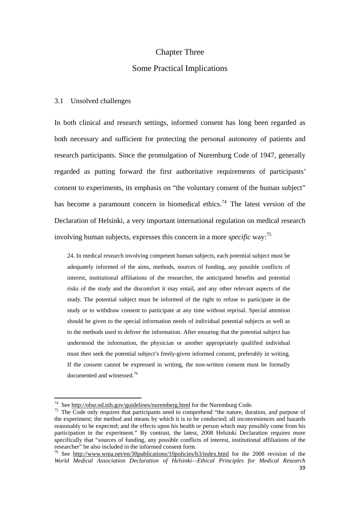## Chapter Three

## Some Practical Implications

#### 3.1 Unsolved challenges

In both clinical and research settings, informed consent has long been regarded as both necessary and sufficient for protecting the personal autonomy of patients and research participants. Since the promulgation of Nuremburg Code of 1947, generally regarded as putting forward the first authoritative requirements of participants' consent to experiments, its emphasis on "the voluntary consent of the human subject" has become a paramount concern in biomedical ethics.<sup>74</sup> The latest version of the Declaration of Helsinki, a very important international regulation on medical research involving human subjects, expresses this concern in a more *specific* way:75

24. In medical research involving competent human subjects, each potential subject must be adequately informed of the aims, methods, sources of funding, any possible conflicts of interest, institutional affiliations of the researcher, the anticipated benefits and potential risks of the study and the discomfort it may entail, and any other relevant aspects of the study. The potential subject must be informed of the right to refuse to participate in the study or to withdraw consent to participate at any time without reprisal. Special attention should be given to the special information needs of individual potential subjects as well as to the methods used to deliver the information. After ensuring that the potential subject has understood the information, the physician or another appropriately qualified individual must then seek the potential subject's freely-given informed consent, preferably in writing. If the consent cannot be expressed in writing, the non-written consent must be formally documented and witnessed.76

<sup>&</sup>lt;sup>74</sup> See http://ohsr.od.nih.gov/guidelines/nuremberg.html for the Nuremburg Code.

<sup>&</sup>lt;sup>75</sup> The Code only requires that participants need to comprehend "the nature, duration, and purpose of the experiment; the method and means by which it is to be conducted; all inconveniences and hazards reasonably to be expected; and the effects upon his health or person which may possibly come from his participation in the experiment." By contrast, the latest, 2008 Helsinki Declaration requires more specifically that "sources of funding, any possible conflicts of interest, institutional affiliations of the researcher" be also included in the informed consent form.

<sup>76</sup> See http://www.wma.net/en/30publications/10policies/b3/index.html for the 2008 revision of the *World Medical Association Declaration of Helsinki—Ethical Principles for Medical Research*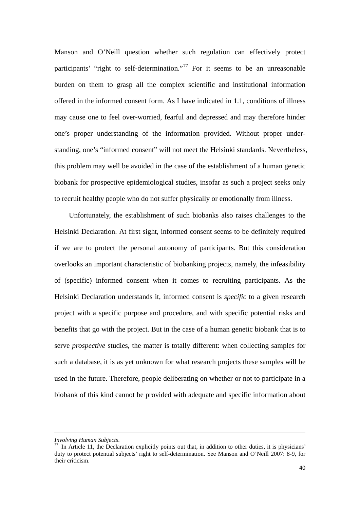Manson and O'Neill question whether such regulation can effectively protect participants' "right to self-determination."<sup>77</sup> For it seems to be an unreasonable burden on them to grasp all the complex scientific and institutional information offered in the informed consent form. As I have indicated in 1.1, conditions of illness may cause one to feel over-worried, fearful and depressed and may therefore hinder one's proper understanding of the information provided. Without proper understanding, one's "informed consent" will not meet the Helsinki standards. Nevertheless, this problem may well be avoided in the case of the establishment of a human genetic biobank for prospective epidemiological studies, insofar as such a project seeks only to recruit healthy people who do not suffer physically or emotionally from illness.

Unfortunately, the establishment of such biobanks also raises challenges to the Helsinki Declaration. At first sight, informed consent seems to be definitely required if we are to protect the personal autonomy of participants. But this consideration overlooks an important characteristic of biobanking projects, namely, the infeasibility of (specific) informed consent when it comes to recruiting participants. As the Helsinki Declaration understands it, informed consent is *specific* to a given research project with a specific purpose and procedure, and with specific potential risks and benefits that go with the project. But in the case of a human genetic biobank that is to serve *prospective* studies, the matter is totally different: when collecting samples for such a database, it is as yet unknown for what research projects these samples will be used in the future. Therefore, people deliberating on whether or not to participate in a biobank of this kind cannot be provided with adequate and specific information about

<u> 1989 - Johann Barbara, marka a shekara tsara 1989 - An tsara 1989 - An tsara 1989 - An tsara 1989 - An tsara</u>

*Involving Human Subjects.*<br><sup>77</sup> In Article 11, the Declaration explicitly points out that, in addition to other duties, it is physicians' duty to protect potential subjects' right to self-determination. See Manson and O'Neill 2007: 8-9, for their criticism.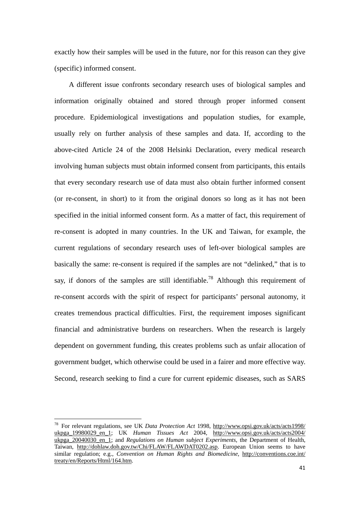exactly how their samples will be used in the future, nor for this reason can they give (specific) informed consent.

A different issue confronts secondary research uses of biological samples and information originally obtained and stored through proper informed consent procedure. Epidemiological investigations and population studies, for example, usually rely on further analysis of these samples and data. If, according to the above-cited Article 24 of the 2008 Helsinki Declaration, every medical research involving human subjects must obtain informed consent from participants, this entails that every secondary research use of data must also obtain further informed consent (or re-consent, in short) to it from the original donors so long as it has not been specified in the initial informed consent form. As a matter of fact, this requirement of re-consent is adopted in many countries. In the UK and Taiwan, for example, the current regulations of secondary research uses of left-over biological samples are basically the same: re-consent is required if the samples are not "delinked," that is to say, if donors of the samples are still identifiable.<sup>78</sup> Although this requirement of re-consent accords with the spirit of respect for participants' personal autonomy, it creates tremendous practical difficulties. First, the requirement imposes significant financial and administrative burdens on researchers. When the research is largely dependent on government funding, this creates problems such as unfair allocation of government budget, which otherwise could be used in a fairer and more effective way. Second, research seeking to find a cure for current epidemic diseases, such as SARS

<sup>78</sup> For relevant regulations, see UK *Data Protection Act* 1998, http://www.opsi.gov.uk/acts/acts1998/ ukpga\_19980029\_en\_1; UK *Human Tissues Act* 2004, http://www.opsi.gov.uk/acts/acts2004/ ukpga\_20040030\_en\_1; and *Regulations on Human subject Experiments*, the Department of Health, Taiwan, http://dohlaw.doh.gov.tw/Chi/FLAW/FLAWDAT0202.asp. European Union seems to have similar regulation; e.g., *Convention on Human Rights and Biomedicine*, http://conventions.coe.int/ treaty/en/Reports/Html/164.htm.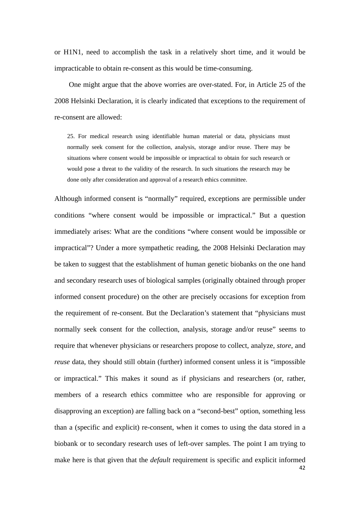or H1N1, need to accomplish the task in a relatively short time, and it would be impracticable to obtain re-consent as this would be time-consuming.

One might argue that the above worries are over-stated. For, in Article 25 of the 2008 Helsinki Declaration, it is clearly indicated that exceptions to the requirement of re-consent are allowed:

25. For medical research using identifiable human material or data, physicians must normally seek consent for the collection, analysis, storage and/or reuse. There may be situations where consent would be impossible or impractical to obtain for such research or would pose a threat to the validity of the research. In such situations the research may be done only after consideration and approval of a research ethics committee.

42 Although informed consent is "normally" required, exceptions are permissible under conditions "where consent would be impossible or impractical." But a question immediately arises: What are the conditions "where consent would be impossible or impractical"? Under a more sympathetic reading, the 2008 Helsinki Declaration may be taken to suggest that the establishment of human genetic biobanks on the one hand and secondary research uses of biological samples (originally obtained through proper informed consent procedure) on the other are precisely occasions for exception from the requirement of re-consent. But the Declaration's statement that "physicians must normally seek consent for the collection, analysis, storage and/or reuse" seems to require that whenever physicians or researchers propose to collect, analyze, *store*, and *reuse* data, they should still obtain (further) informed consent unless it is "impossible or impractical." This makes it sound as if physicians and researchers (or, rather, members of a research ethics committee who are responsible for approving or disapproving an exception) are falling back on a "second-best" option, something less than a (specific and explicit) re-consent, when it comes to using the data stored in a biobank or to secondary research uses of left-over samples. The point I am trying to make here is that given that the *default* requirement is specific and explicit informed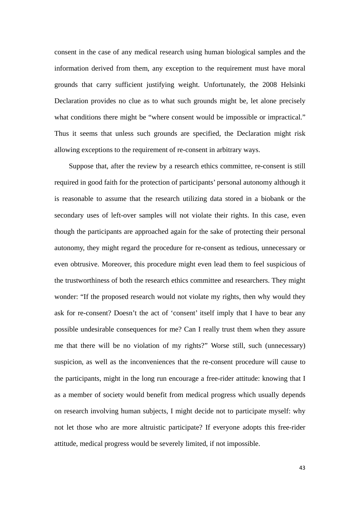consent in the case of any medical research using human biological samples and the information derived from them, any exception to the requirement must have moral grounds that carry sufficient justifying weight. Unfortunately, the 2008 Helsinki Declaration provides no clue as to what such grounds might be, let alone precisely what conditions there might be "where consent would be impossible or impractical." Thus it seems that unless such grounds are specified, the Declaration might risk allowing exceptions to the requirement of re-consent in arbitrary ways.

Suppose that, after the review by a research ethics committee, re-consent is still required in good faith for the protection of participants' personal autonomy although it is reasonable to assume that the research utilizing data stored in a biobank or the secondary uses of left-over samples will not violate their rights. In this case, even though the participants are approached again for the sake of protecting their personal autonomy, they might regard the procedure for re-consent as tedious, unnecessary or even obtrusive. Moreover, this procedure might even lead them to feel suspicious of the trustworthiness of both the research ethics committee and researchers. They might wonder: "If the proposed research would not violate my rights, then why would they ask for re-consent? Doesn't the act of 'consent' itself imply that I have to bear any possible undesirable consequences for me? Can I really trust them when they assure me that there will be no violation of my rights?" Worse still, such (unnecessary) suspicion, as well as the inconveniences that the re-consent procedure will cause to the participants, might in the long run encourage a free-rider attitude: knowing that I as a member of society would benefit from medical progress which usually depends on research involving human subjects, I might decide not to participate myself: why not let those who are more altruistic participate? If everyone adopts this free-rider attitude, medical progress would be severely limited, if not impossible.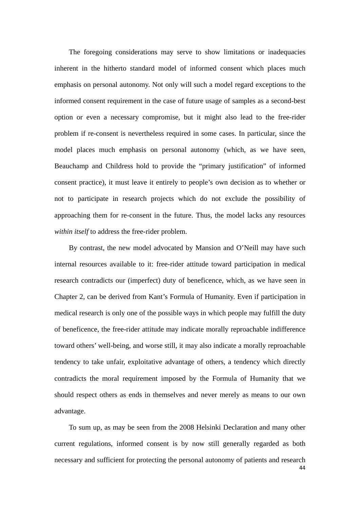The foregoing considerations may serve to show limitations or inadequacies inherent in the hitherto standard model of informed consent which places much emphasis on personal autonomy. Not only will such a model regard exceptions to the informed consent requirement in the case of future usage of samples as a second-best option or even a necessary compromise, but it might also lead to the free-rider problem if re-consent is nevertheless required in some cases. In particular, since the model places much emphasis on personal autonomy (which, as we have seen, Beauchamp and Childress hold to provide the "primary justification" of informed consent practice), it must leave it entirely to people's own decision as to whether or not to participate in research projects which do not exclude the possibility of approaching them for re-consent in the future. Thus, the model lacks any resources *within itself* to address the free-rider problem.

By contrast, the new model advocated by Mansion and O'Neill may have such internal resources available to it: free-rider attitude toward participation in medical research contradicts our (imperfect) duty of beneficence, which, as we have seen in Chapter 2, can be derived from Kant's Formula of Humanity. Even if participation in medical research is only one of the possible ways in which people may fulfill the duty of beneficence, the free-rider attitude may indicate morally reproachable indifference toward others' well-being, and worse still, it may also indicate a morally reproachable tendency to take unfair, exploitative advantage of others, a tendency which directly contradicts the moral requirement imposed by the Formula of Humanity that we should respect others as ends in themselves and never merely as means to our own advantage.

44 To sum up, as may be seen from the 2008 Helsinki Declaration and many other current regulations, informed consent is by now still generally regarded as both necessary and sufficient for protecting the personal autonomy of patients and research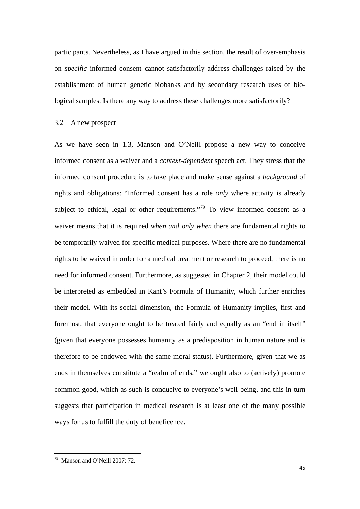participants. Nevertheless, as I have argued in this section, the result of over-emphasis on *specific* informed consent cannot satisfactorily address challenges raised by the establishment of human genetic biobanks and by secondary research uses of biological samples. Is there any way to address these challenges more satisfactorily?

#### 3.2 A new prospect

As we have seen in 1.3, Manson and O'Neill propose a new way to conceive informed consent as a waiver and a *context-dependent* speech act. They stress that the informed consent procedure is to take place and make sense against a *background* of rights and obligations: "Informed consent has a role *only* where activity is already subject to ethical, legal or other requirements.<sup> $79$ </sup> To view informed consent as a waiver means that it is required *when and only when* there are fundamental rights to be temporarily waived for specific medical purposes. Where there are no fundamental rights to be waived in order for a medical treatment or research to proceed, there is no need for informed consent. Furthermore, as suggested in Chapter 2, their model could be interpreted as embedded in Kant's Formula of Humanity, which further enriches their model. With its social dimension, the Formula of Humanity implies, first and foremost, that everyone ought to be treated fairly and equally as an "end in itself" (given that everyone possesses humanity as a predisposition in human nature and is therefore to be endowed with the same moral status). Furthermore, given that we as ends in themselves constitute a "realm of ends," we ought also to (actively) promote common good, which as such is conducive to everyone's well-being, and this in turn suggests that participation in medical research is at least one of the many possible ways for us to fulfill the duty of beneficence.

 79 Manson and O'Neill 2007: 72.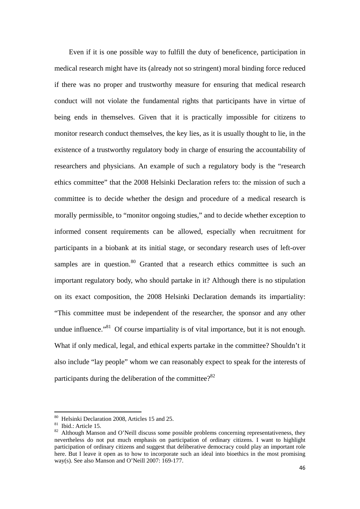Even if it is one possible way to fulfill the duty of beneficence, participation in medical research might have its (already not so stringent) moral binding force reduced if there was no proper and trustworthy measure for ensuring that medical research conduct will not violate the fundamental rights that participants have in virtue of being ends in themselves. Given that it is practically impossible for citizens to monitor research conduct themselves, the key lies, as it is usually thought to lie, in the existence of a trustworthy regulatory body in charge of ensuring the accountability of researchers and physicians. An example of such a regulatory body is the "research ethics committee" that the 2008 Helsinki Declaration refers to: the mission of such a committee is to decide whether the design and procedure of a medical research is morally permissible, to "monitor ongoing studies," and to decide whether exception to informed consent requirements can be allowed, especially when recruitment for participants in a biobank at its initial stage, or secondary research uses of left-over samples are in question.<sup>80</sup> Granted that a research ethics committee is such an important regulatory body, who should partake in it? Although there is no stipulation on its exact composition, the 2008 Helsinki Declaration demands its impartiality: "This committee must be independent of the researcher, the sponsor and any other undue influence."<sup>81</sup> Of course impartiality is of vital importance, but it is not enough. What if only medical, legal, and ethical experts partake in the committee? Shouldn't it also include "lay people" whom we can reasonably expect to speak for the interests of participants during the deliberation of the committee? $82$ 

<sup>80</sup> Helsinki Declaration 2008, Articles 15 and 25.

<sup>81</sup> Ibid.: Article 15.

 $82$  Although Manson and O'Neill discuss some possible problems concerning representativeness, they nevertheless do not put much emphasis on participation of ordinary citizens. I want to highlight participation of ordinary citizens and suggest that deliberative democracy could play an important role here. But I leave it open as to how to incorporate such an ideal into bioethics in the most promising way(s). See also Manson and O'Neill 2007: 169-177.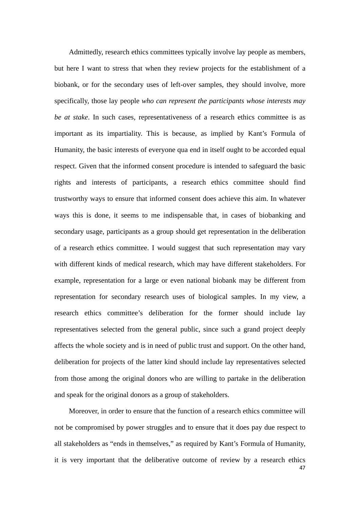Admittedly, research ethics committees typically involve lay people as members, but here I want to stress that when they review projects for the establishment of a biobank, or for the secondary uses of left-over samples, they should involve, more specifically, those lay people *who can represent the participants whose interests may be at stake*. In such cases, representativeness of a research ethics committee is as important as its impartiality. This is because, as implied by Kant's Formula of Humanity, the basic interests of everyone qua end in itself ought to be accorded equal respect. Given that the informed consent procedure is intended to safeguard the basic rights and interests of participants, a research ethics committee should find trustworthy ways to ensure that informed consent does achieve this aim. In whatever ways this is done, it seems to me indispensable that, in cases of biobanking and secondary usage, participants as a group should get representation in the deliberation of a research ethics committee. I would suggest that such representation may vary with different kinds of medical research, which may have different stakeholders. For example, representation for a large or even national biobank may be different from representation for secondary research uses of biological samples. In my view, a research ethics committee's deliberation for the former should include lay representatives selected from the general public, since such a grand project deeply affects the whole society and is in need of public trust and support. On the other hand, deliberation for projects of the latter kind should include lay representatives selected from those among the original donors who are willing to partake in the deliberation and speak for the original donors as a group of stakeholders.

47 Moreover, in order to ensure that the function of a research ethics committee will not be compromised by power struggles and to ensure that it does pay due respect to all stakeholders as "ends in themselves," as required by Kant's Formula of Humanity, it is very important that the deliberative outcome of review by a research ethics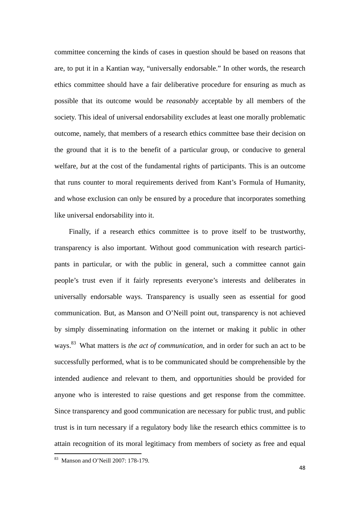committee concerning the kinds of cases in question should be based on reasons that are, to put it in a Kantian way, "universally endorsable." In other words, the research ethics committee should have a fair deliberative procedure for ensuring as much as possible that its outcome would be *reasonably* acceptable by all members of the society. This ideal of universal endorsability excludes at least one morally problematic outcome, namely, that members of a research ethics committee base their decision on the ground that it is to the benefit of a particular group, or conducive to general welfare, *but* at the cost of the fundamental rights of participants. This is an outcome that runs counter to moral requirements derived from Kant's Formula of Humanity, and whose exclusion can only be ensured by a procedure that incorporates something like universal endorsability into it.

Finally, if a research ethics committee is to prove itself to be trustworthy, transparency is also important. Without good communication with research participants in particular, or with the public in general, such a committee cannot gain people's trust even if it fairly represents everyone's interests and deliberates in universally endorsable ways. Transparency is usually seen as essential for good communication. But, as Manson and O'Neill point out, transparency is not achieved by simply disseminating information on the internet or making it public in other ways.83 What matters is *the act of communication*, and in order for such an act to be successfully performed, what is to be communicated should be comprehensible by the intended audience and relevant to them, and opportunities should be provided for anyone who is interested to raise questions and get response from the committee. Since transparency and good communication are necessary for public trust, and public trust is in turn necessary if a regulatory body like the research ethics committee is to attain recognition of its moral legitimacy from members of society as free and equal

 83 Manson and O'Neill 2007: 178-179.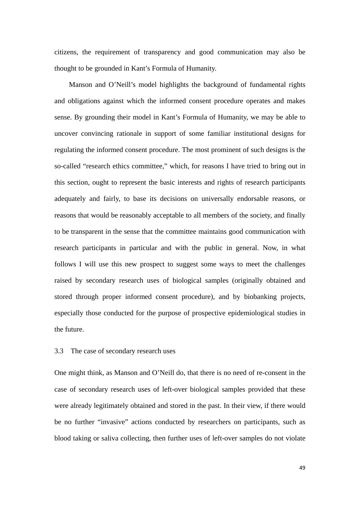citizens, the requirement of transparency and good communication may also be thought to be grounded in Kant's Formula of Humanity.

Manson and O'Neill's model highlights the background of fundamental rights and obligations against which the informed consent procedure operates and makes sense. By grounding their model in Kant's Formula of Humanity, we may be able to uncover convincing rationale in support of some familiar institutional designs for regulating the informed consent procedure. The most prominent of such designs is the so-called "research ethics committee," which, for reasons I have tried to bring out in this section, ought to represent the basic interests and rights of research participants adequately and fairly, to base its decisions on universally endorsable reasons, or reasons that would be reasonably acceptable to all members of the society, and finally to be transparent in the sense that the committee maintains good communication with research participants in particular and with the public in general. Now, in what follows I will use this new prospect to suggest some ways to meet the challenges raised by secondary research uses of biological samples (originally obtained and stored through proper informed consent procedure), and by biobanking projects, especially those conducted for the purpose of prospective epidemiological studies in the future.

#### 3.3 The case of secondary research uses

One might think, as Manson and O'Neill do, that there is no need of re-consent in the case of secondary research uses of left-over biological samples provided that these were already legitimately obtained and stored in the past. In their view, if there would be no further "invasive" actions conducted by researchers on participants, such as blood taking or saliva collecting, then further uses of left-over samples do not violate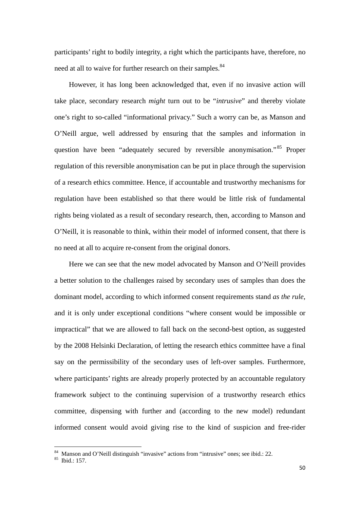participants' right to bodily integrity, a right which the participants have, therefore, no need at all to waive for further research on their samples.<sup>84</sup>

However, it has long been acknowledged that, even if no invasive action will take place, secondary research *might* turn out to be "*intrusive*" and thereby violate one's right to so-called "informational privacy." Such a worry can be, as Manson and O'Neill argue, well addressed by ensuring that the samples and information in question have been "adequately secured by reversible anonymisation."<sup>85</sup> Proper regulation of this reversible anonymisation can be put in place through the supervision of a research ethics committee. Hence, if accountable and trustworthy mechanisms for regulation have been established so that there would be little risk of fundamental rights being violated as a result of secondary research, then, according to Manson and O'Neill, it is reasonable to think, within their model of informed consent, that there is no need at all to acquire re-consent from the original donors.

Here we can see that the new model advocated by Manson and O'Neill provides a better solution to the challenges raised by secondary uses of samples than does the dominant model, according to which informed consent requirements stand *as the rule*, and it is only under exceptional conditions "where consent would be impossible or impractical" that we are allowed to fall back on the second-best option, as suggested by the 2008 Helsinki Declaration, of letting the research ethics committee have a final say on the permissibility of the secondary uses of left-over samples. Furthermore, where participants' rights are already properly protected by an accountable regulatory framework subject to the continuing supervision of a trustworthy research ethics committee, dispensing with further and (according to the new model) redundant informed consent would avoid giving rise to the kind of suspicion and free-rider

<sup>84</sup> Manson and O'Neill distinguish "invasive" actions from "intrusive" ones; see ibid.: 22.

<sup>85</sup> Ibid.: 157.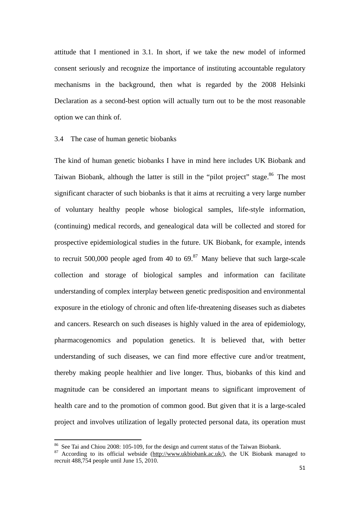attitude that I mentioned in 3.1. In short, if we take the new model of informed consent seriously and recognize the importance of instituting accountable regulatory mechanisms in the background, then what is regarded by the 2008 Helsinki Declaration as a second-best option will actually turn out to be the most reasonable option we can think of.

#### 3.4 The case of human genetic biobanks

The kind of human genetic biobanks I have in mind here includes UK Biobank and Taiwan Biobank, although the latter is still in the "pilot project" stage.<sup>86</sup> The most significant character of such biobanks is that it aims at recruiting a very large number of voluntary healthy people whose biological samples, life-style information, (continuing) medical records, and genealogical data will be collected and stored for prospective epidemiological studies in the future. UK Biobank, for example, intends to recruit 500,000 people aged from 40 to  $69$ .<sup>87</sup> Many believe that such large-scale collection and storage of biological samples and information can facilitate understanding of complex interplay between genetic predisposition and environmental exposure in the etiology of chronic and often life-threatening diseases such as diabetes and cancers. Research on such diseases is highly valued in the area of epidemiology, pharmacogenomics and population genetics. It is believed that, with better understanding of such diseases, we can find more effective cure and/or treatment, thereby making people healthier and live longer. Thus, biobanks of this kind and magnitude can be considered an important means to significant improvement of health care and to the promotion of common good. But given that it is a large-scaled project and involves utilization of legally protected personal data, its operation must

<sup>&</sup>lt;sup>86</sup> See Tai and Chiou 2008: 105-109, for the design and current status of the Taiwan Biobank.

 $87$  According to its official webside (http://www.ukbiobank.ac.uk/), the UK Biobank managed to recruit 488,754 people until June 15, 2010.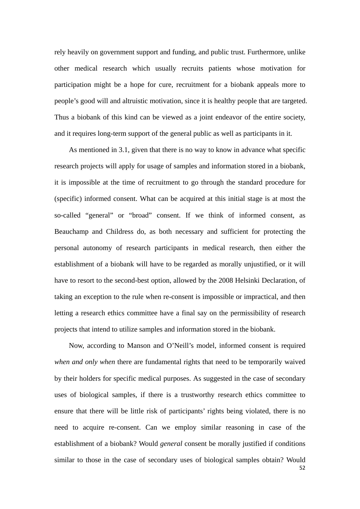rely heavily on government support and funding, and public trust. Furthermore, unlike other medical research which usually recruits patients whose motivation for participation might be a hope for cure, recruitment for a biobank appeals more to people's good will and altruistic motivation, since it is healthy people that are targeted. Thus a biobank of this kind can be viewed as a joint endeavor of the entire society, and it requires long-term support of the general public as well as participants in it.

As mentioned in 3.1, given that there is no way to know in advance what specific research projects will apply for usage of samples and information stored in a biobank, it is impossible at the time of recruitment to go through the standard procedure for (specific) informed consent. What can be acquired at this initial stage is at most the so-called "general" or "broad" consent. If we think of informed consent, as Beauchamp and Childress do, as both necessary and sufficient for protecting the personal autonomy of research participants in medical research, then either the establishment of a biobank will have to be regarded as morally unjustified, or it will have to resort to the second-best option, allowed by the 2008 Helsinki Declaration, of taking an exception to the rule when re-consent is impossible or impractical, and then letting a research ethics committee have a final say on the permissibility of research projects that intend to utilize samples and information stored in the biobank.

52 Now, according to Manson and O'Neill's model, informed consent is required *when and only when* there are fundamental rights that need to be temporarily waived by their holders for specific medical purposes. As suggested in the case of secondary uses of biological samples, if there is a trustworthy research ethics committee to ensure that there will be little risk of participants' rights being violated, there is no need to acquire re-consent. Can we employ similar reasoning in case of the establishment of a biobank? Would *general* consent be morally justified if conditions similar to those in the case of secondary uses of biological samples obtain? Would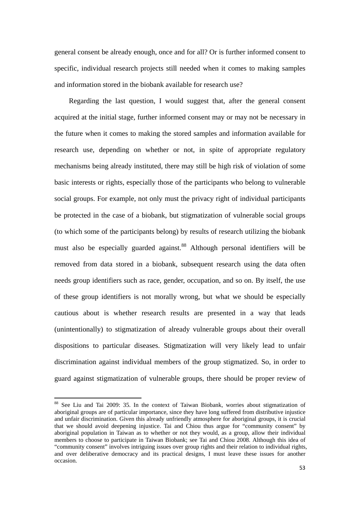general consent be already enough, once and for all? Or is further informed consent to specific, individual research projects still needed when it comes to making samples and information stored in the biobank available for research use?

Regarding the last question, I would suggest that, after the general consent acquired at the initial stage, further informed consent may or may not be necessary in the future when it comes to making the stored samples and information available for research use, depending on whether or not, in spite of appropriate regulatory mechanisms being already instituted, there may still be high risk of violation of some basic interests or rights, especially those of the participants who belong to vulnerable social groups. For example, not only must the privacy right of individual participants be protected in the case of a biobank, but stigmatization of vulnerable social groups (to which some of the participants belong) by results of research utilizing the biobank must also be especially guarded against.<sup>88</sup> Although personal identifiers will be removed from data stored in a biobank, subsequent research using the data often needs group identifiers such as race, gender, occupation, and so on. By itself, the use of these group identifiers is not morally wrong, but what we should be especially cautious about is whether research results are presented in a way that leads (unintentionally) to stigmatization of already vulnerable groups about their overall dispositions to particular diseases. Stigmatization will very likely lead to unfair discrimination against individual members of the group stigmatized. So, in order to guard against stigmatization of vulnerable groups, there should be proper review of

<sup>&</sup>lt;sup>88</sup> See Liu and Tai 2009: 35. In the context of Taiwan Biobank, worries about stigmatization of aboriginal groups are of particular importance, since they have long suffered from distributive injustice and unfair discrimination. Given this already unfriendly atmosphere for aboriginal groups, it is crucial that we should avoid deepening injustice. Tai and Chiou thus argue for "community consent" by aboriginal population in Taiwan as to whether or not they would, as a group, allow their individual members to choose to participate in Taiwan Biobank; see Tai and Chiou 2008. Although this idea of "community consent" involves intriguing issues over group rights and their relation to individual rights, and over deliberative democracy and its practical designs, I must leave these issues for another occasion.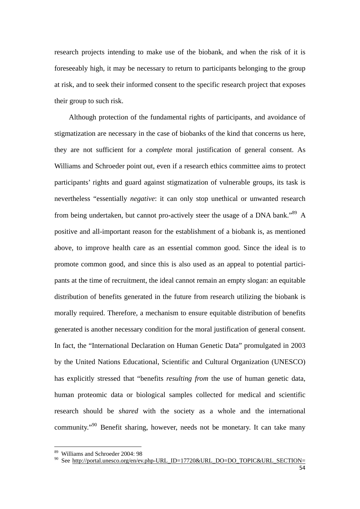research projects intending to make use of the biobank, and when the risk of it is foreseeably high, it may be necessary to return to participants belonging to the group at risk, and to seek their informed consent to the specific research project that exposes their group to such risk.

Although protection of the fundamental rights of participants, and avoidance of stigmatization are necessary in the case of biobanks of the kind that concerns us here, they are not sufficient for a *complete* moral justification of general consent. As Williams and Schroeder point out, even if a research ethics committee aims to protect participants' rights and guard against stigmatization of vulnerable groups, its task is nevertheless "essentially *negative*: it can only stop unethical or unwanted research from being undertaken, but cannot pro-actively steer the usage of a DNA bank."<sup>89</sup> A positive and all-important reason for the establishment of a biobank is, as mentioned above, to improve health care as an essential common good. Since the ideal is to promote common good, and since this is also used as an appeal to potential participants at the time of recruitment, the ideal cannot remain an empty slogan: an equitable distribution of benefits generated in the future from research utilizing the biobank is morally required. Therefore, a mechanism to ensure equitable distribution of benefits generated is another necessary condition for the moral justification of general consent. In fact, the "International Declaration on Human Genetic Data" promulgated in 2003 by the United Nations Educational, Scientific and Cultural Organization (UNESCO) has explicitly stressed that "benefits *resulting from* the use of human genetic data, human proteomic data or biological samples collected for medical and scientific research should be *shared* with the society as a whole and the international community."90 Benefit sharing, however, needs not be monetary. It can take many

 89 Williams and Schroeder 2004: 98

<sup>&</sup>lt;sup>90</sup> See http://portal.unesco.org/en/ev.php-URL\_ID=17720&URL\_DO=DO\_TOPIC&URL\_SECTION=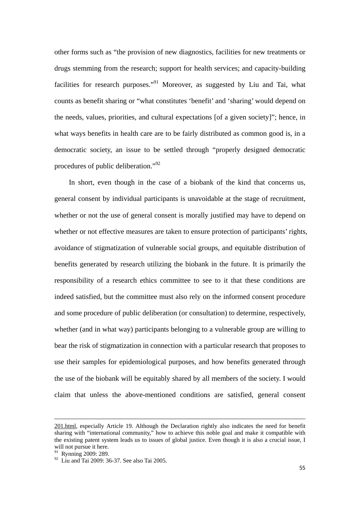other forms such as "the provision of new diagnostics, facilities for new treatments or drugs stemming from the research; support for health services; and capacity-building facilities for research purposes."<sup>91</sup> Moreover, as suggested by Liu and Tai, what counts as benefit sharing or "what constitutes 'benefit' and 'sharing' would depend on the needs, values, priorities, and cultural expectations [of a given society]"; hence, in what ways benefits in health care are to be fairly distributed as common good is, in a democratic society, an issue to be settled through "properly designed democratic procedures of public deliberation."<sup>92</sup>

In short, even though in the case of a biobank of the kind that concerns us, general consent by individual participants is unavoidable at the stage of recruitment, whether or not the use of general consent is morally justified may have to depend on whether or not effective measures are taken to ensure protection of participants' rights, avoidance of stigmatization of vulnerable social groups, and equitable distribution of benefits generated by research utilizing the biobank in the future. It is primarily the responsibility of a research ethics committee to see to it that these conditions are indeed satisfied, but the committee must also rely on the informed consent procedure and some procedure of public deliberation (or consultation) to determine, respectively, whether (and in what way) participants belonging to a vulnerable group are willing to bear the risk of stigmatization in connection with a particular research that proposes to use their samples for epidemiological purposes, and how benefits generated through the use of the biobank will be equitably shared by all members of the society. I would claim that unless the above-mentioned conditions are satisfied, general consent

<u> 1989 - Johann Barbara, marka a shekara tsara 1989 - An tsara 1989 - An tsara 1989 - An tsara 1989 - An tsara</u>

<sup>201.</sup>html, especially Article 19. Although the Declaration rightly also indicates the need for benefit sharing with "international community," how to achieve this noble goal and make it compatible with the existing patent system leads us to issues of global justice. Even though it is also a crucial issue, I will not pursue it here.

<sup>&</sup>lt;sup>91</sup> Rynning 2009: 289.

<sup>92</sup> Liu and Tai 2009: 36-37. See also Tai 2005.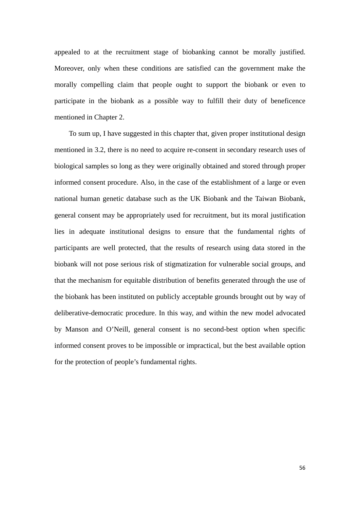appealed to at the recruitment stage of biobanking cannot be morally justified. Moreover, only when these conditions are satisfied can the government make the morally compelling claim that people ought to support the biobank or even to participate in the biobank as a possible way to fulfill their duty of beneficence mentioned in Chapter 2.

To sum up, I have suggested in this chapter that, given proper institutional design mentioned in 3.2, there is no need to acquire re-consent in secondary research uses of biological samples so long as they were originally obtained and stored through proper informed consent procedure. Also, in the case of the establishment of a large or even national human genetic database such as the UK Biobank and the Taiwan Biobank, general consent may be appropriately used for recruitment, but its moral justification lies in adequate institutional designs to ensure that the fundamental rights of participants are well protected, that the results of research using data stored in the biobank will not pose serious risk of stigmatization for vulnerable social groups, and that the mechanism for equitable distribution of benefits generated through the use of the biobank has been instituted on publicly acceptable grounds brought out by way of deliberative-democratic procedure. In this way, and within the new model advocated by Manson and O'Neill, general consent is no second-best option when specific informed consent proves to be impossible or impractical, but the best available option for the protection of people's fundamental rights.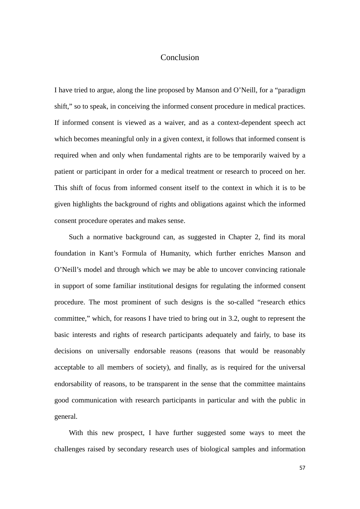## Conclusion

I have tried to argue, along the line proposed by Manson and O'Neill, for a "paradigm shift," so to speak, in conceiving the informed consent procedure in medical practices. If informed consent is viewed as a waiver, and as a context-dependent speech act which becomes meaningful only in a given context, it follows that informed consent is required when and only when fundamental rights are to be temporarily waived by a patient or participant in order for a medical treatment or research to proceed on her. This shift of focus from informed consent itself to the context in which it is to be given highlights the background of rights and obligations against which the informed consent procedure operates and makes sense.

Such a normative background can, as suggested in Chapter 2, find its moral foundation in Kant's Formula of Humanity, which further enriches Manson and O'Neill's model and through which we may be able to uncover convincing rationale in support of some familiar institutional designs for regulating the informed consent procedure. The most prominent of such designs is the so-called "research ethics committee," which, for reasons I have tried to bring out in 3.2, ought to represent the basic interests and rights of research participants adequately and fairly, to base its decisions on universally endorsable reasons (reasons that would be reasonably acceptable to all members of society), and finally, as is required for the universal endorsability of reasons, to be transparent in the sense that the committee maintains good communication with research participants in particular and with the public in general.

With this new prospect, I have further suggested some ways to meet the challenges raised by secondary research uses of biological samples and information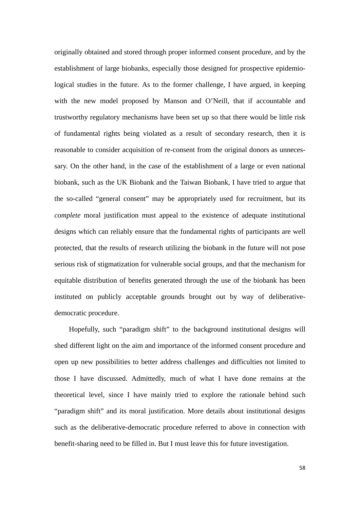originally obtained and stored through proper informed consent procedure, and by the establishment of large biobanks, especially those designed for prospective epidemiological studies in the future. As to the former challenge, I have argued, in keeping with the new model proposed by Manson and O'Neill, that if accountable and trustworthy regulatory mechanisms have been set up so that there would be little risk of fundamental rights being violated as a result of secondary research, then it is reasonable to consider acquisition of re-consent from the original donors as unnecessary. On the other hand, in the case of the establishment of a large or even national biobank, such as the UK Biobank and the Taiwan Biobank, I have tried to argue that the so-called "general consent" may be appropriately used for recruitment, but its *complete* moral justification must appeal to the existence of adequate institutional designs which can reliably ensure that the fundamental rights of participants are well protected, that the results of research utilizing the biobank in the future will not pose serious risk of stigmatization for vulnerable social groups, and that the mechanism for equitable distribution of benefits generated through the use of the biobank has been instituted on publicly acceptable grounds brought out by way of deliberativedemocratic procedure.

Hopefully, such "paradigm shift" to the background institutional designs will shed different light on the aim and importance of the informed consent procedure and open up new possibilities to better address challenges and difficulties not limited to those I have discussed. Admittedly, much of what I have done remains at the theoretical level, since I have mainly tried to explore the rationale behind such "paradigm shift" and its moral justification. More details about institutional designs such as the deliberative-democratic procedure referred to above in connection with benefit-sharing need to be filled in. But I must leave this for future investigation.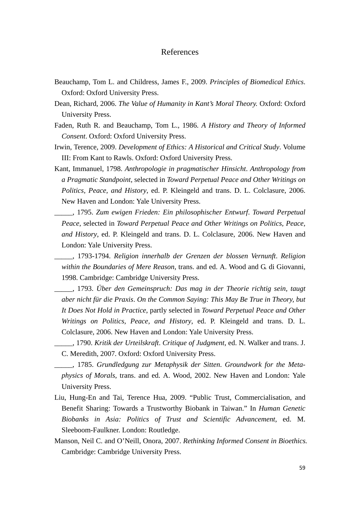## References

- Beauchamp, Tom L. and Childress, James F., 2009. *Principles of Biomedical Ethics*. Oxford: Oxford University Press.
- Dean, Richard, 2006. *The Value of Humanity in Kant's Moral Theory.* Oxford: Oxford University Press.
- Faden, Ruth R. and Beauchamp, Tom L., 1986. *A History and Theory of Informed Consent*. Oxford: Oxford University Press.
- Irwin, Terence, 2009. *Development of Ethics: A Historical and Critical Study*. Volume III: From Kant to Rawls. Oxford: Oxford University Press.
- Kant, Immanuel, 1798. *Anthropologie in pragmatischer Hinsicht*. *Anthropology from a Pragmatic Standpoint*, selected in *Toward Perpetual Peace and Other Writings on Politics, Peace, and History*, ed. P. Kleingeld and trans. D. L. Colclasure, 2006. New Haven and London: Yale University Press.
- \_\_\_\_\_, 1795. *Zum ewigen Frieden: Ein philosophischer Entwurf*. *Toward Perpetual Peace*, selected in *Toward Perpetual Peace and Other Writings on Politics, Peace, and History*, ed. P. Kleingeld and trans. D. L. Colclasure, 2006. New Haven and London: Yale University Press.

\_\_\_\_\_, 1793-1794. *Religion innerhalb der Grenzen der blossen Vernunft*. *Religion within the Boundaries of Mere Reason*, trans. and ed. A. Wood and G. di Giovanni, 1998. Cambridge: Cambridge University Press.

\_\_\_\_\_, 1793. *Über den Gemeinspruch: Das mag in der Theorie richtig sein, taugt aber nicht für die Praxis*. *On the Common Saying: This May Be True in Theory, but It Does Not Hold in Practice*, partly selected in *Toward Perpetual Peace and Other Writings on Politics, Peace, and History*, ed. P. Kleingeld and trans. D. L. Colclasure, 2006. New Haven and London: Yale University Press.

\_\_\_\_\_, 1790. *Kritik der Urteilskraft*. *Critique of Judgment*, ed. N. Walker and trans. J. C. Meredith, 2007. Oxford: Oxford University Press.

\_\_\_\_\_, 1785. *Grundledgung zur Metaphysik der Sitten*. *Groundwork for the Metaphysics of Morals*, trans. and ed. A. Wood, 2002. New Haven and London: Yale University Press.

- Liu, Hung-En and Tai, Terence Hua, 2009. "Public Trust, Commercialisation, and Benefit Sharing: Towards a Trustworthy Biobank in Taiwan." In *Human Genetic Biobanks in Asia: Politics of Trust and Scientific Advancement*, ed. M. Sleeboom-Faulkner. London: Routledge.
- Manson, Neil C. and O'Neill, Onora, 2007. *Rethinking Informed Consent in Bioethics.* Cambridge: Cambridge University Press.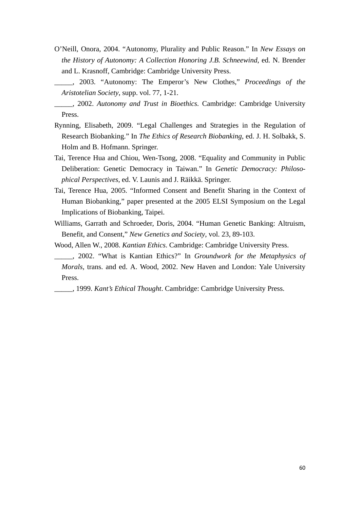- O'Neill, Onora, 2004. "Autonomy, Plurality and Public Reason." In *New Essays on the History of Autonomy: A Collection Honoring J.B. Schneewind*, ed. N. Brender and L. Krasnoff, Cambridge: Cambridge University Press.
- \_\_\_\_\_, 2003. "Autonomy: The Emperor's New Clothes," *Proceedings of the Aristotelian Society*, supp. vol. 77, 1-21.
- \_\_\_\_\_, 2002. *Autonomy and Trust in Bioethics.* Cambridge: Cambridge University Press.
- Rynning, Elisabeth, 2009. "Legal Challenges and Strategies in the Regulation of Research Biobanking." In *The Ethics of Research Biobanking*, ed. J. H. Solbakk, S. Holm and B. Hofmann. Springer.
- Tai, Terence Hua and Chiou, Wen-Tsong, 2008. "Equality and Community in Public Deliberation: Genetic Democracy in Taiwan." In *Genetic Democracy: Philosophical Perspectives*, ed. V. Launis and J. Räikkä. Springer.
- Tai, Terence Hua, 2005. "Informed Consent and Benefit Sharing in the Context of Human Biobanking," paper presented at the 2005 ELSI Symposium on the Legal Implications of Biobanking, Taipei.
- Williams, Garrath and Schroeder, Doris, 2004. "Human Genetic Banking: Altruism, Benefit, and Consent," *New Genetics and Society*, vol. 23, 89-103.
- Wood, Allen W., 2008. *Kantian Ethics*. Cambridge: Cambridge University Press.
- \_\_\_\_\_, 2002. "What is Kantian Ethics?" In *Groundwork for the Metaphysics of Morals*, trans. and ed. A. Wood, 2002. New Haven and London: Yale University Press.

\_\_\_\_\_, 1999. *Kant's Ethical Thought*. Cambridge: Cambridge University Press.